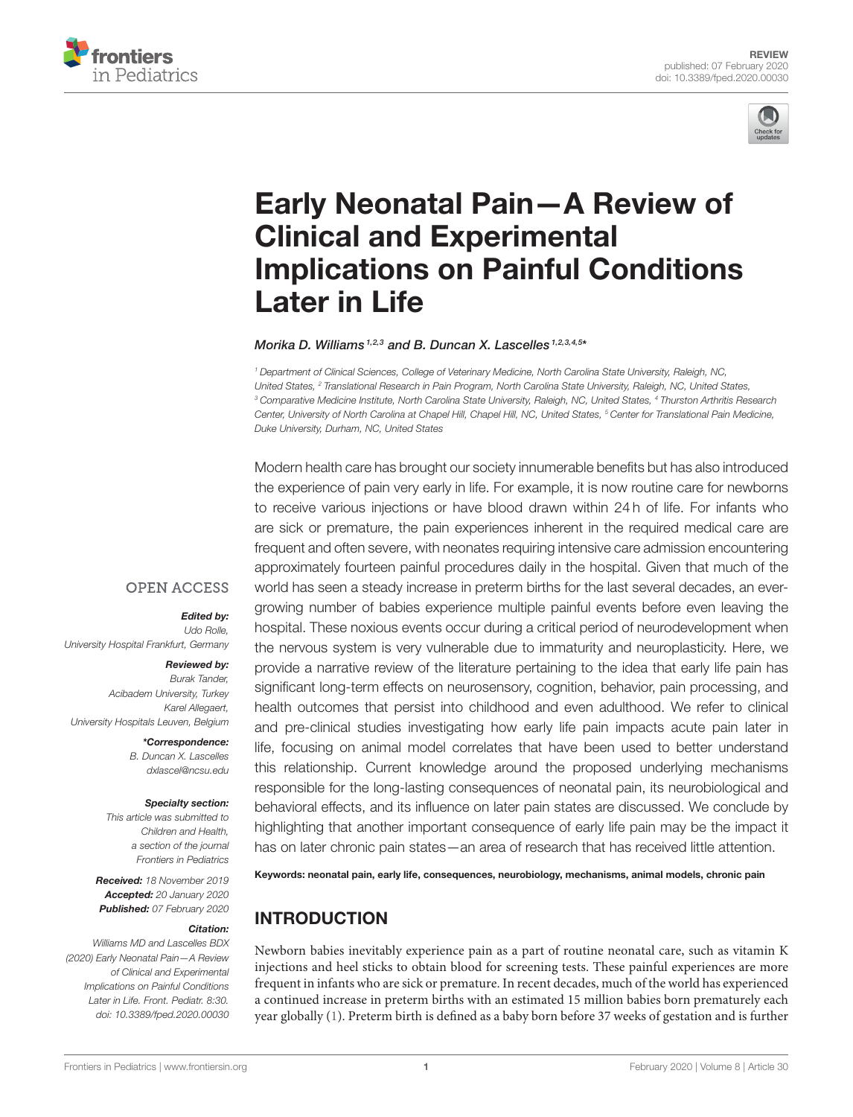



# Early Neonatal Pain—A Review of Clinical and Experimental [Implications on Painful Conditions](https://www.frontiersin.org/articles/10.3389/fped.2020.00030/full) Later in Life

#### [Morika D. Williams](http://loop.frontiersin.org/people/851662/overview)<sup>1,2,3</sup> and [B. Duncan X. Lascelles](http://loop.frontiersin.org/people/851660/overview)<sup>1,2,3,4,5\*</sup>

*<sup>1</sup> Department of Clinical Sciences, College of Veterinary Medicine, North Carolina State University, Raleigh, NC, United States, <sup>2</sup> Translational Research in Pain Program, North Carolina State University, Raleigh, NC, United States, <sup>3</sup> Comparative Medicine Institute, North Carolina State University, Raleigh, NC, United States, <sup>4</sup> Thurston Arthritis Research Center, University of North Carolina at Chapel Hill, Chapel Hill, NC, United States, <sup>5</sup> Center for Translational Pain Medicine, Duke University, Durham, NC, United States*

Modern health care has brought our society innumerable benefits but has also introduced the experience of pain very early in life. For example, it is now routine care for newborns to receive various injections or have blood drawn within 24 h of life. For infants who are sick or premature, the pain experiences inherent in the required medical care are frequent and often severe, with neonates requiring intensive care admission encountering approximately fourteen painful procedures daily in the hospital. Given that much of the world has seen a steady increase in preterm births for the last several decades, an evergrowing number of babies experience multiple painful events before even leaving the hospital. These noxious events occur during a critical period of neurodevelopment when the nervous system is very vulnerable due to immaturity and neuroplasticity. Here, we provide a narrative review of the literature pertaining to the idea that early life pain has significant long-term effects on neurosensory, cognition, behavior, pain processing, and health outcomes that persist into childhood and even adulthood. We refer to clinical and pre-clinical studies investigating how early life pain impacts acute pain later in life, focusing on animal model correlates that have been used to better understand this relationship. Current knowledge around the proposed underlying mechanisms responsible for the long-lasting consequences of neonatal pain, its neurobiological and behavioral effects, and its influence on later pain states are discussed. We conclude by highlighting that another important consequence of early life pain may be the impact it has on later chronic pain states—an area of research that has received little attention.

Keywords: neonatal pain, early life, consequences, neurobiology, mechanisms, animal models, chronic pain

# INTRODUCTION

Newborn babies inevitably experience pain as a part of routine neonatal care, such as vitamin K injections and heel sticks to obtain blood for screening tests. These painful experiences are more frequent in infants who are sick or premature. In recent decades, much of the world has experienced a continued increase in preterm births with an estimated 15 million babies born prematurely each year globally [\(1\)](#page-11-0). Preterm birth is defined as a baby born before 37 weeks of gestation and is further

#### **OPEN ACCESS**

#### Edited by:

*Udo Rolle, University Hospital Frankfurt, Germany*

#### Reviewed by:

*Burak Tander, Acibadem University, Turkey Karel Allegaert, University Hospitals Leuven, Belgium*

> \*Correspondence: *B. Duncan X. Lascelles [dxlascel@ncsu.edu](mailto:dxlascel@ncsu.edu)*

#### Specialty section:

*This article was submitted to Children and Health, a section of the journal Frontiers in Pediatrics*

Received: *18 November 2019* Accepted: *20 January 2020* Published: *07 February 2020*

#### Citation:

*Williams MD and Lascelles BDX (2020) Early Neonatal Pain—A Review of Clinical and Experimental Implications on Painful Conditions Later in Life. Front. Pediatr. 8:30. doi: [10.3389/fped.2020.00030](https://doi.org/10.3389/fped.2020.00030)*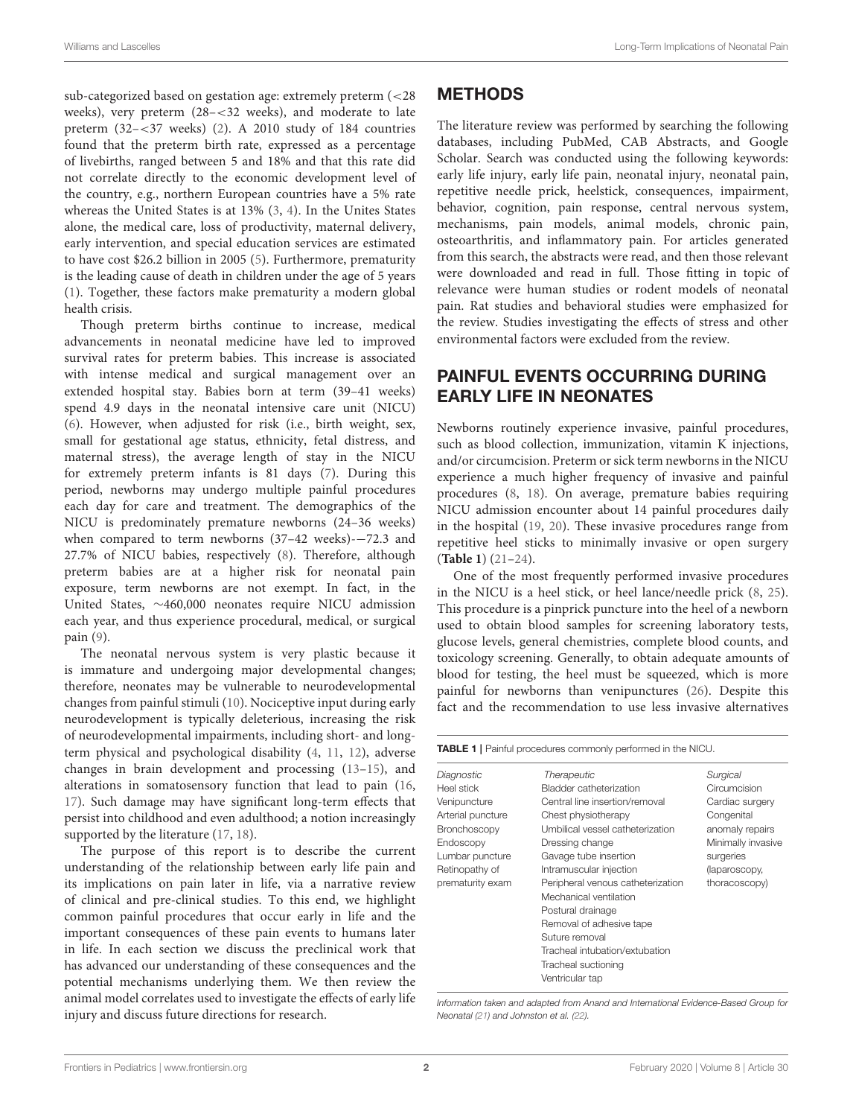sub-categorized based on gestation age: extremely preterm (<28 weeks), very preterm (28–<32 weeks), and moderate to late preterm (32–<37 weeks) [\(2\)](#page-11-1). A 2010 study of 184 countries found that the preterm birth rate, expressed as a percentage of livebirths, ranged between 5 and 18% and that this rate did not correlate directly to the economic development level of the country, e.g., northern European countries have a 5% rate whereas the United States is at 13% [\(3,](#page-11-2) [4\)](#page-11-3). In the Unites States alone, the medical care, loss of productivity, maternal delivery, early intervention, and special education services are estimated to have cost \$26.2 billion in 2005 [\(5\)](#page-11-4). Furthermore, prematurity is the leading cause of death in children under the age of 5 years [\(1\)](#page-11-0). Together, these factors make prematurity a modern global health crisis.

Though preterm births continue to increase, medical advancements in neonatal medicine have led to improved survival rates for preterm babies. This increase is associated with intense medical and surgical management over an extended hospital stay. Babies born at term (39–41 weeks) spend 4.9 days in the neonatal intensive care unit (NICU) [\(6\)](#page-11-5). However, when adjusted for risk (i.e., birth weight, sex, small for gestational age status, ethnicity, fetal distress, and maternal stress), the average length of stay in the NICU for extremely preterm infants is 81 days [\(7\)](#page-11-6). During this period, newborns may undergo multiple painful procedures each day for care and treatment. The demographics of the NICU is predominately premature newborns (24–36 weeks) when compared to term newborns (37–42 weeks)-−72.3 and 27.7% of NICU babies, respectively [\(8\)](#page-11-7). Therefore, although preterm babies are at a higher risk for neonatal pain exposure, term newborns are not exempt. In fact, in the United States, ∼460,000 neonates require NICU admission each year, and thus experience procedural, medical, or surgical pain [\(9\)](#page-11-8).

The neonatal nervous system is very plastic because it is immature and undergoing major developmental changes; therefore, neonates may be vulnerable to neurodevelopmental changes from painful stimuli [\(10\)](#page-11-9). Nociceptive input during early neurodevelopment is typically deleterious, increasing the risk of neurodevelopmental impairments, including short- and longterm physical and psychological disability [\(4,](#page-11-3) [11,](#page-12-0) [12\)](#page-12-1), adverse changes in brain development and processing [\(13](#page-12-2)[–15\)](#page-12-3), and alterations in somatosensory function that lead to pain [\(16,](#page-12-4) [17\)](#page-12-5). Such damage may have significant long-term effects that persist into childhood and even adulthood; a notion increasingly supported by the literature [\(17,](#page-12-5) [18\)](#page-12-6).

The purpose of this report is to describe the current understanding of the relationship between early life pain and its implications on pain later in life, via a narrative review of clinical and pre-clinical studies. To this end, we highlight common painful procedures that occur early in life and the important consequences of these pain events to humans later in life. In each section we discuss the preclinical work that has advanced our understanding of these consequences and the potential mechanisms underlying them. We then review the animal model correlates used to investigate the effects of early life injury and discuss future directions for research.

### **METHODS**

The literature review was performed by searching the following databases, including PubMed, CAB Abstracts, and Google Scholar. Search was conducted using the following keywords: early life injury, early life pain, neonatal injury, neonatal pain, repetitive needle prick, heelstick, consequences, impairment, behavior, cognition, pain response, central nervous system, mechanisms, pain models, animal models, chronic pain, osteoarthritis, and inflammatory pain. For articles generated from this search, the abstracts were read, and then those relevant were downloaded and read in full. Those fitting in topic of relevance were human studies or rodent models of neonatal pain. Rat studies and behavioral studies were emphasized for the review. Studies investigating the effects of stress and other environmental factors were excluded from the review.

# PAINFUL EVENTS OCCURRING DURING EARLY LIFE IN NEONATES

Newborns routinely experience invasive, painful procedures, such as blood collection, immunization, vitamin K injections, and/or circumcision. Preterm or sick term newborns in the NICU experience a much higher frequency of invasive and painful procedures [\(8,](#page-11-7) [18\)](#page-12-6). On average, premature babies requiring NICU admission encounter about 14 painful procedures daily in the hospital [\(19,](#page-12-7) [20\)](#page-12-8). These invasive procedures range from repetitive heel sticks to minimally invasive or open surgery (**[Table 1](#page-1-0)**) [\(21](#page-12-9)[–24\)](#page-12-10).

One of the most frequently performed invasive procedures in the NICU is a heel stick, or heel lance/needle prick [\(8,](#page-11-7) [25\)](#page-12-11). This procedure is a pinprick puncture into the heel of a newborn used to obtain blood samples for screening laboratory tests, glucose levels, general chemistries, complete blood counts, and toxicology screening. Generally, to obtain adequate amounts of blood for testing, the heel must be squeezed, which is more painful for newborns than venipunctures [\(26\)](#page-12-12). Despite this fact and the recommendation to use less invasive alternatives

<span id="page-1-0"></span>

| Diagnostic        | Therapeutic                                        | Surgical           |
|-------------------|----------------------------------------------------|--------------------|
| Heel stick        | Bladder catheterization                            | Circumcision       |
| Venipuncture      | Central line insertion/removal                     | Cardiac surgery    |
| Arterial puncture | Chest physiotherapy                                | Congenital         |
| Bronchoscopy      | Umbilical vessel catheterization                   | anomaly repairs    |
| Endoscopy         | Dressing change                                    | Minimally invasive |
| Lumbar puncture   | Gavage tube insertion                              | surgeries          |
| Retinopathy of    | Intramuscular injection                            | (laparoscopy,      |
| prematurity exam  | Peripheral venous catheterization<br>thoracoscopy) |                    |
|                   | Mechanical ventilation                             |                    |
|                   | Postural drainage                                  |                    |
|                   | Removal of adhesive tape                           |                    |
|                   | Suture removal                                     |                    |
|                   | Tracheal intubation/extubation                     |                    |
|                   | Tracheal suctioning                                |                    |
|                   | Ventricular tap                                    |                    |

*Information taken and adapted from Anand and International Evidence-Based Group for Neonatal [\(21\)](#page-12-9) and Johnston et al. [\(22\)](#page-12-13).*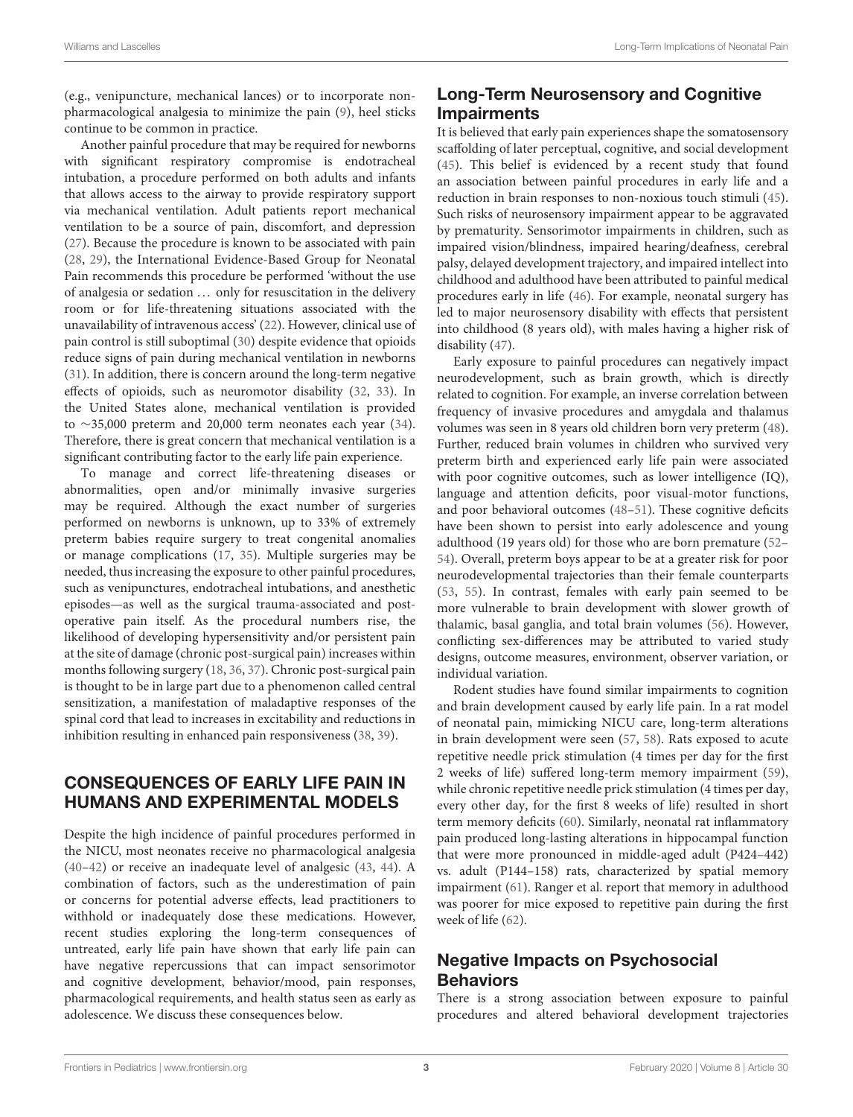(e.g., venipuncture, mechanical lances) or to incorporate nonpharmacological analgesia to minimize the pain [\(9\)](#page-11-8), heel sticks continue to be common in practice.

Another painful procedure that may be required for newborns with significant respiratory compromise is endotracheal intubation, a procedure performed on both adults and infants that allows access to the airway to provide respiratory support via mechanical ventilation. Adult patients report mechanical ventilation to be a source of pain, discomfort, and depression [\(27\)](#page-12-14). Because the procedure is known to be associated with pain [\(28,](#page-12-15) [29\)](#page-12-16), the International Evidence-Based Group for Neonatal Pain recommends this procedure be performed 'without the use of analgesia or sedation ... only for resuscitation in the delivery room or for life-threatening situations associated with the unavailability of intravenous access' [\(22\)](#page-12-13). However, clinical use of pain control is still suboptimal [\(30\)](#page-12-17) despite evidence that opioids reduce signs of pain during mechanical ventilation in newborns [\(31\)](#page-12-18). In addition, there is concern around the long-term negative effects of opioids, such as neuromotor disability [\(32,](#page-12-19) [33\)](#page-12-20). In the United States alone, mechanical ventilation is provided to ∼35,000 preterm and 20,000 term neonates each year [\(34\)](#page-12-21). Therefore, there is great concern that mechanical ventilation is a significant contributing factor to the early life pain experience.

To manage and correct life-threatening diseases or abnormalities, open and/or minimally invasive surgeries may be required. Although the exact number of surgeries performed on newborns is unknown, up to 33% of extremely preterm babies require surgery to treat congenital anomalies or manage complications [\(17,](#page-12-5) [35\)](#page-12-22). Multiple surgeries may be needed, thus increasing the exposure to other painful procedures, such as venipunctures, endotracheal intubations, and anesthetic episodes—as well as the surgical trauma-associated and postoperative pain itself. As the procedural numbers rise, the likelihood of developing hypersensitivity and/or persistent pain at the site of damage (chronic post-surgical pain) increases within months following surgery [\(18,](#page-12-6) [36,](#page-12-23) [37\)](#page-12-24). Chronic post-surgical pain is thought to be in large part due to a phenomenon called central sensitization, a manifestation of maladaptive responses of the spinal cord that lead to increases in excitability and reductions in inhibition resulting in enhanced pain responsiveness [\(38,](#page-12-25) [39\)](#page-12-26).

# CONSEQUENCES OF EARLY LIFE PAIN IN HUMANS AND EXPERIMENTAL MODELS

Despite the high incidence of painful procedures performed in the NICU, most neonates receive no pharmacological analgesia [\(40](#page-12-27)[–42\)](#page-12-28) or receive an inadequate level of analgesic [\(43,](#page-12-29) [44\)](#page-12-30). A combination of factors, such as the underestimation of pain or concerns for potential adverse effects, lead practitioners to withhold or inadequately dose these medications. However, recent studies exploring the long-term consequences of untreated, early life pain have shown that early life pain can have negative repercussions that can impact sensorimotor and cognitive development, behavior/mood, pain responses, pharmacological requirements, and health status seen as early as adolescence. We discuss these consequences below.

# Long-Term Neurosensory and Cognitive **Impairments**

It is believed that early pain experiences shape the somatosensory scaffolding of later perceptual, cognitive, and social development [\(45\)](#page-12-31). This belief is evidenced by a recent study that found an association between painful procedures in early life and a reduction in brain responses to non-noxious touch stimuli [\(45\)](#page-12-31). Such risks of neurosensory impairment appear to be aggravated by prematurity. Sensorimotor impairments in children, such as impaired vision/blindness, impaired hearing/deafness, cerebral palsy, delayed development trajectory, and impaired intellect into childhood and adulthood have been attributed to painful medical procedures early in life [\(46\)](#page-12-32). For example, neonatal surgery has led to major neurosensory disability with effects that persistent into childhood (8 years old), with males having a higher risk of disability [\(47\)](#page-12-33).

Early exposure to painful procedures can negatively impact neurodevelopment, such as brain growth, which is directly related to cognition. For example, an inverse correlation between frequency of invasive procedures and amygdala and thalamus volumes was seen in 8 years old children born very preterm [\(48\)](#page-12-34). Further, reduced brain volumes in children who survived very preterm birth and experienced early life pain were associated with poor cognitive outcomes, such as lower intelligence (IQ), language and attention deficits, poor visual-motor functions, and poor behavioral outcomes [\(48–](#page-12-34)[51\)](#page-12-35). These cognitive deficits have been shown to persist into early adolescence and young adulthood (19 years old) for those who are born premature [\(52–](#page-13-0) [54\)](#page-13-1). Overall, preterm boys appear to be at a greater risk for poor neurodevelopmental trajectories than their female counterparts [\(53,](#page-13-2) [55\)](#page-13-3). In contrast, females with early pain seemed to be more vulnerable to brain development with slower growth of thalamic, basal ganglia, and total brain volumes [\(56\)](#page-13-4). However, conflicting sex-differences may be attributed to varied study designs, outcome measures, environment, observer variation, or individual variation.

Rodent studies have found similar impairments to cognition and brain development caused by early life pain. In a rat model of neonatal pain, mimicking NICU care, long-term alterations in brain development were seen [\(57,](#page-13-5) [58\)](#page-13-6). Rats exposed to acute repetitive needle prick stimulation (4 times per day for the first 2 weeks of life) suffered long-term memory impairment [\(59\)](#page-13-7), while chronic repetitive needle prick stimulation (4 times per day, every other day, for the first 8 weeks of life) resulted in short term memory deficits [\(60\)](#page-13-8). Similarly, neonatal rat inflammatory pain produced long-lasting alterations in hippocampal function that were more pronounced in middle-aged adult (P424–442) vs. adult (P144–158) rats, characterized by spatial memory impairment [\(61\)](#page-13-9). Ranger et al. report that memory in adulthood was poorer for mice exposed to repetitive pain during the first week of life [\(62\)](#page-13-10).

# Negative Impacts on Psychosocial **Behaviors**

There is a strong association between exposure to painful procedures and altered behavioral development trajectories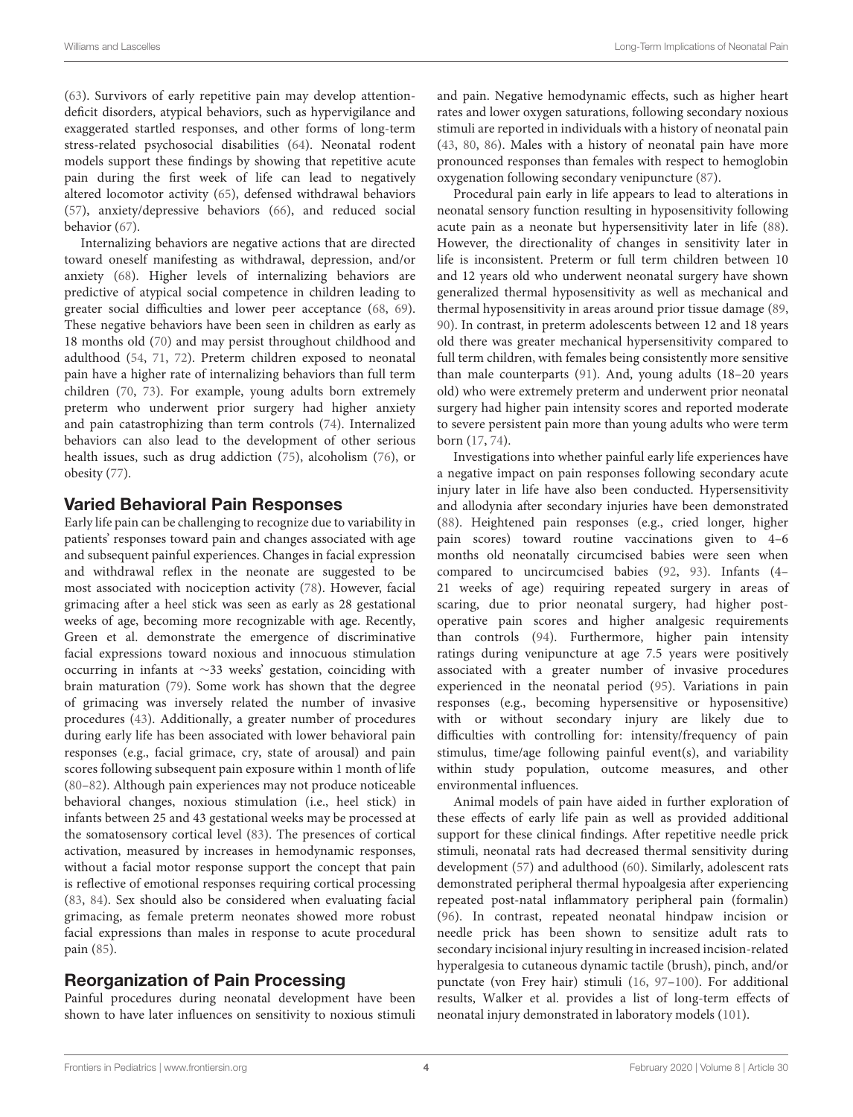[\(63\)](#page-13-11). Survivors of early repetitive pain may develop attentiondeficit disorders, atypical behaviors, such as hypervigilance and exaggerated startled responses, and other forms of long-term stress-related psychosocial disabilities [\(64\)](#page-13-12). Neonatal rodent models support these findings by showing that repetitive acute pain during the first week of life can lead to negatively altered locomotor activity [\(65\)](#page-13-13), defensed withdrawal behaviors [\(57\)](#page-13-5), anxiety/depressive behaviors [\(66\)](#page-13-14), and reduced social behavior [\(67\)](#page-13-15).

Internalizing behaviors are negative actions that are directed toward oneself manifesting as withdrawal, depression, and/or anxiety [\(68\)](#page-13-16). Higher levels of internalizing behaviors are predictive of atypical social competence in children leading to greater social difficulties and lower peer acceptance [\(68,](#page-13-16) [69\)](#page-13-17). These negative behaviors have been seen in children as early as 18 months old [\(70\)](#page-13-18) and may persist throughout childhood and adulthood [\(54,](#page-13-1) [71,](#page-13-19) [72\)](#page-13-20). Preterm children exposed to neonatal pain have a higher rate of internalizing behaviors than full term children [\(70,](#page-13-18) [73\)](#page-13-21). For example, young adults born extremely preterm who underwent prior surgery had higher anxiety and pain catastrophizing than term controls [\(74\)](#page-13-22). Internalized behaviors can also lead to the development of other serious health issues, such as drug addiction [\(75\)](#page-13-23), alcoholism [\(76\)](#page-13-24), or obesity [\(77\)](#page-13-25).

### Varied Behavioral Pain Responses

Early life pain can be challenging to recognize due to variability in patients' responses toward pain and changes associated with age and subsequent painful experiences. Changes in facial expression and withdrawal reflex in the neonate are suggested to be most associated with nociception activity [\(78\)](#page-13-26). However, facial grimacing after a heel stick was seen as early as 28 gestational weeks of age, becoming more recognizable with age. Recently, Green et al. demonstrate the emergence of discriminative facial expressions toward noxious and innocuous stimulation occurring in infants at ∼33 weeks' gestation, coinciding with brain maturation [\(79\)](#page-13-27). Some work has shown that the degree of grimacing was inversely related the number of invasive procedures [\(43\)](#page-12-29). Additionally, a greater number of procedures during early life has been associated with lower behavioral pain responses (e.g., facial grimace, cry, state of arousal) and pain scores following subsequent pain exposure within 1 month of life [\(80](#page-13-28)[–82\)](#page-13-29). Although pain experiences may not produce noticeable behavioral changes, noxious stimulation (i.e., heel stick) in infants between 25 and 43 gestational weeks may be processed at the somatosensory cortical level [\(83\)](#page-13-30). The presences of cortical activation, measured by increases in hemodynamic responses, without a facial motor response support the concept that pain is reflective of emotional responses requiring cortical processing [\(83,](#page-13-30) [84\)](#page-13-31). Sex should also be considered when evaluating facial grimacing, as female preterm neonates showed more robust facial expressions than males in response to acute procedural pain [\(85\)](#page-13-32).

### Reorganization of Pain Processing

Painful procedures during neonatal development have been shown to have later influences on sensitivity to noxious stimuli and pain. Negative hemodynamic effects, such as higher heart rates and lower oxygen saturations, following secondary noxious stimuli are reported in individuals with a history of neonatal pain [\(43,](#page-12-29) [80,](#page-13-28) [86\)](#page-13-33). Males with a history of neonatal pain have more pronounced responses than females with respect to hemoglobin oxygenation following secondary venipuncture [\(87\)](#page-13-34).

Procedural pain early in life appears to lead to alterations in neonatal sensory function resulting in hyposensitivity following acute pain as a neonate but hypersensitivity later in life [\(88\)](#page-13-35). However, the directionality of changes in sensitivity later in life is inconsistent. Preterm or full term children between 10 and 12 years old who underwent neonatal surgery have shown generalized thermal hyposensitivity as well as mechanical and thermal hyposensitivity in areas around prior tissue damage [\(89,](#page-14-0) [90\)](#page-14-1). In contrast, in preterm adolescents between 12 and 18 years old there was greater mechanical hypersensitivity compared to full term children, with females being consistently more sensitive than male counterparts [\(91\)](#page-14-2). And, young adults (18–20 years old) who were extremely preterm and underwent prior neonatal surgery had higher pain intensity scores and reported moderate to severe persistent pain more than young adults who were term born [\(17,](#page-12-5) [74\)](#page-13-22).

Investigations into whether painful early life experiences have a negative impact on pain responses following secondary acute injury later in life have also been conducted. Hypersensitivity and allodynia after secondary injuries have been demonstrated [\(88\)](#page-13-35). Heightened pain responses (e.g., cried longer, higher pain scores) toward routine vaccinations given to 4–6 months old neonatally circumcised babies were seen when compared to uncircumcised babies [\(92,](#page-14-3) [93\)](#page-14-4). Infants (4– 21 weeks of age) requiring repeated surgery in areas of scaring, due to prior neonatal surgery, had higher postoperative pain scores and higher analgesic requirements than controls [\(94\)](#page-14-5). Furthermore, higher pain intensity ratings during venipuncture at age 7.5 years were positively associated with a greater number of invasive procedures experienced in the neonatal period [\(95\)](#page-14-6). Variations in pain responses (e.g., becoming hypersensitive or hyposensitive) with or without secondary injury are likely due to difficulties with controlling for: intensity/frequency of pain stimulus, time/age following painful event(s), and variability within study population, outcome measures, and other environmental influences.

Animal models of pain have aided in further exploration of these effects of early life pain as well as provided additional support for these clinical findings. After repetitive needle prick stimuli, neonatal rats had decreased thermal sensitivity during development [\(57\)](#page-13-5) and adulthood [\(60\)](#page-13-8). Similarly, adolescent rats demonstrated peripheral thermal hypoalgesia after experiencing repeated post-natal inflammatory peripheral pain (formalin) [\(96\)](#page-14-7). In contrast, repeated neonatal hindpaw incision or needle prick has been shown to sensitize adult rats to secondary incisional injury resulting in increased incision-related hyperalgesia to cutaneous dynamic tactile (brush), pinch, and/or punctate (von Frey hair) stimuli [\(16,](#page-12-4) [97](#page-14-8)[–100\)](#page-14-9). For additional results, Walker et al. provides a list of long-term effects of neonatal injury demonstrated in laboratory models [\(101\)](#page-14-10).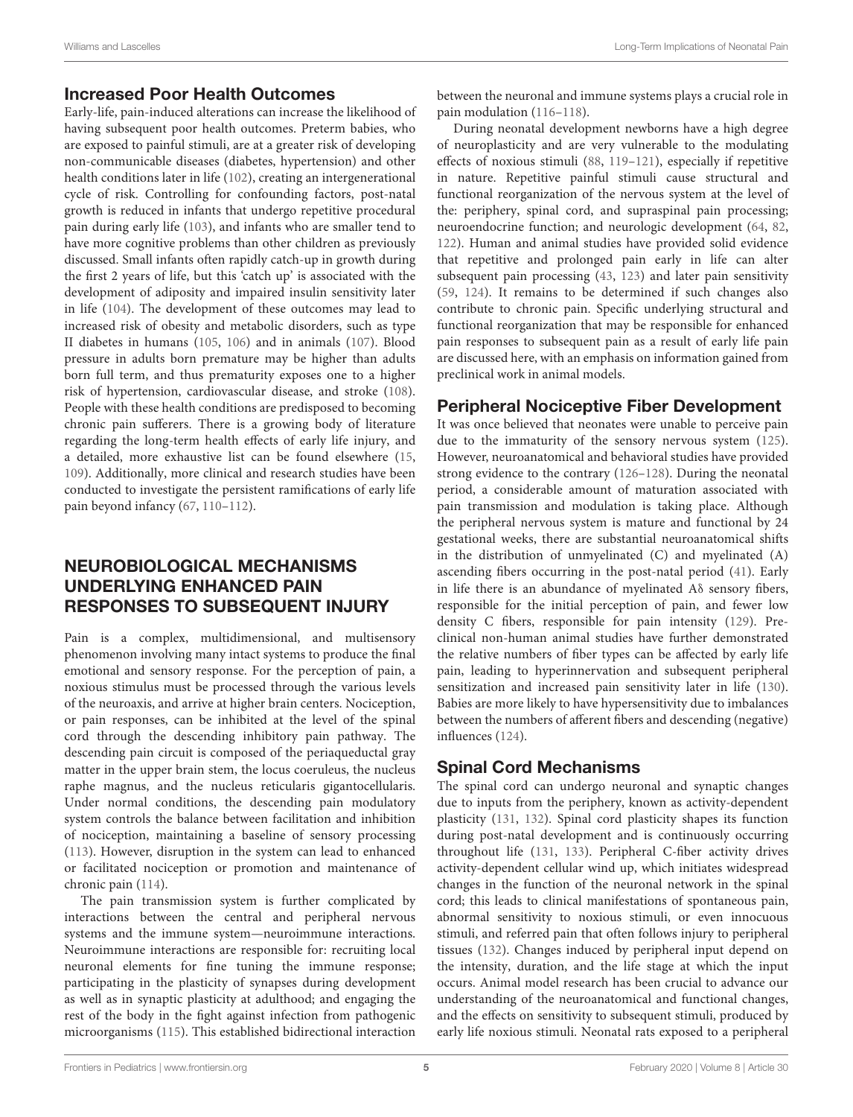### Increased Poor Health Outcomes

Early-life, pain-induced alterations can increase the likelihood of having subsequent poor health outcomes. Preterm babies, who are exposed to painful stimuli, are at a greater risk of developing non-communicable diseases (diabetes, hypertension) and other health conditions later in life [\(102\)](#page-14-11), creating an intergenerational cycle of risk. Controlling for confounding factors, post-natal growth is reduced in infants that undergo repetitive procedural pain during early life [\(103\)](#page-14-12), and infants who are smaller tend to have more cognitive problems than other children as previously discussed. Small infants often rapidly catch-up in growth during the first 2 years of life, but this 'catch up' is associated with the development of adiposity and impaired insulin sensitivity later in life [\(104\)](#page-14-13). The development of these outcomes may lead to increased risk of obesity and metabolic disorders, such as type II diabetes in humans [\(105,](#page-14-14) [106\)](#page-14-15) and in animals [\(107\)](#page-14-16). Blood pressure in adults born premature may be higher than adults born full term, and thus prematurity exposes one to a higher risk of hypertension, cardiovascular disease, and stroke [\(108\)](#page-14-17). People with these health conditions are predisposed to becoming chronic pain sufferers. There is a growing body of literature regarding the long-term health effects of early life injury, and a detailed, more exhaustive list can be found elsewhere [\(15,](#page-12-3) [109\)](#page-14-18). Additionally, more clinical and research studies have been conducted to investigate the persistent ramifications of early life pain beyond infancy [\(67,](#page-13-15) [110–](#page-14-19)[112\)](#page-14-20).

# NEUROBIOLOGICAL MECHANISMS UNDERLYING ENHANCED PAIN RESPONSES TO SUBSEQUENT INJURY

Pain is a complex, multidimensional, and multisensory phenomenon involving many intact systems to produce the final emotional and sensory response. For the perception of pain, a noxious stimulus must be processed through the various levels of the neuroaxis, and arrive at higher brain centers. Nociception, or pain responses, can be inhibited at the level of the spinal cord through the descending inhibitory pain pathway. The descending pain circuit is composed of the periaqueductal gray matter in the upper brain stem, the locus coeruleus, the nucleus raphe magnus, and the nucleus reticularis gigantocellularis. Under normal conditions, the descending pain modulatory system controls the balance between facilitation and inhibition of nociception, maintaining a baseline of sensory processing [\(113\)](#page-14-21). However, disruption in the system can lead to enhanced or facilitated nociception or promotion and maintenance of chronic pain [\(114\)](#page-14-22).

The pain transmission system is further complicated by interactions between the central and peripheral nervous systems and the immune system—neuroimmune interactions. Neuroimmune interactions are responsible for: recruiting local neuronal elements for fine tuning the immune response; participating in the plasticity of synapses during development as well as in synaptic plasticity at adulthood; and engaging the rest of the body in the fight against infection from pathogenic microorganisms [\(115\)](#page-14-23). This established bidirectional interaction between the neuronal and immune systems plays a crucial role in pain modulation [\(116–](#page-14-24)[118\)](#page-14-25).

During neonatal development newborns have a high degree of neuroplasticity and are very vulnerable to the modulating effects of noxious stimuli [\(88,](#page-13-35) [119–](#page-14-26)[121\)](#page-14-27), especially if repetitive in nature. Repetitive painful stimuli cause structural and functional reorganization of the nervous system at the level of the: periphery, spinal cord, and supraspinal pain processing; neuroendocrine function; and neurologic development [\(64,](#page-13-12) [82,](#page-13-29) [122\)](#page-14-28). Human and animal studies have provided solid evidence that repetitive and prolonged pain early in life can alter subsequent pain processing [\(43,](#page-12-29) [123\)](#page-14-29) and later pain sensitivity [\(59,](#page-13-7) [124\)](#page-14-30). It remains to be determined if such changes also contribute to chronic pain. Specific underlying structural and functional reorganization that may be responsible for enhanced pain responses to subsequent pain as a result of early life pain are discussed here, with an emphasis on information gained from preclinical work in animal models.

# Peripheral Nociceptive Fiber Development

It was once believed that neonates were unable to perceive pain due to the immaturity of the sensory nervous system [\(125\)](#page-14-31). However, neuroanatomical and behavioral studies have provided strong evidence to the contrary [\(126–](#page-14-32)[128\)](#page-14-33). During the neonatal period, a considerable amount of maturation associated with pain transmission and modulation is taking place. Although the peripheral nervous system is mature and functional by 24 gestational weeks, there are substantial neuroanatomical shifts in the distribution of unmyelinated (C) and myelinated (A) ascending fibers occurring in the post-natal period [\(41\)](#page-12-36). Early in life there is an abundance of myelinated Aδ sensory fibers, responsible for the initial perception of pain, and fewer low density C fibers, responsible for pain intensity [\(129\)](#page-14-34). Preclinical non-human animal studies have further demonstrated the relative numbers of fiber types can be affected by early life pain, leading to hyperinnervation and subsequent peripheral sensitization and increased pain sensitivity later in life [\(130\)](#page-14-35). Babies are more likely to have hypersensitivity due to imbalances between the numbers of afferent fibers and descending (negative) influences [\(124\)](#page-14-30).

# Spinal Cord Mechanisms

The spinal cord can undergo neuronal and synaptic changes due to inputs from the periphery, known as activity-dependent plasticity [\(131,](#page-14-36) [132\)](#page-15-0). Spinal cord plasticity shapes its function during post-natal development and is continuously occurring throughout life [\(131,](#page-14-36) [133\)](#page-15-1). Peripheral C-fiber activity drives activity-dependent cellular wind up, which initiates widespread changes in the function of the neuronal network in the spinal cord; this leads to clinical manifestations of spontaneous pain, abnormal sensitivity to noxious stimuli, or even innocuous stimuli, and referred pain that often follows injury to peripheral tissues [\(132\)](#page-15-0). Changes induced by peripheral input depend on the intensity, duration, and the life stage at which the input occurs. Animal model research has been crucial to advance our understanding of the neuroanatomical and functional changes, and the effects on sensitivity to subsequent stimuli, produced by early life noxious stimuli. Neonatal rats exposed to a peripheral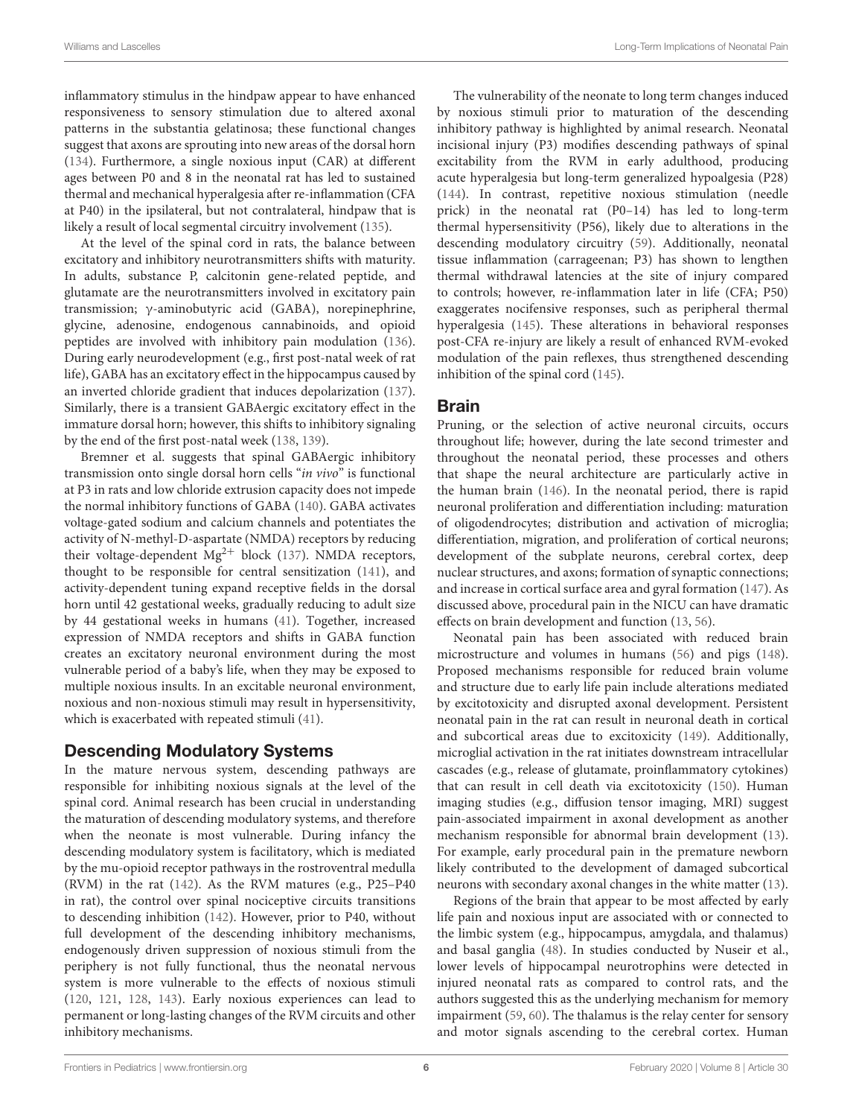Williams and Lascelles **Long-Term Implications of Neonatal Pain** And Term Implications of Neonatal Pain

inflammatory stimulus in the hindpaw appear to have enhanced responsiveness to sensory stimulation due to altered axonal patterns in the substantia gelatinosa; these functional changes suggest that axons are sprouting into new areas of the dorsal horn [\(134\)](#page-15-2). Furthermore, a single noxious input (CAR) at different ages between P0 and 8 in the neonatal rat has led to sustained thermal and mechanical hyperalgesia after re-inflammation (CFA at P40) in the ipsilateral, but not contralateral, hindpaw that is likely a result of local segmental circuitry involvement [\(135\)](#page-15-3).

At the level of the spinal cord in rats, the balance between excitatory and inhibitory neurotransmitters shifts with maturity. In adults, substance P, calcitonin gene-related peptide, and glutamate are the neurotransmitters involved in excitatory pain transmission; γ-aminobutyric acid (GABA), norepinephrine, glycine, adenosine, endogenous cannabinoids, and opioid peptides are involved with inhibitory pain modulation [\(136\)](#page-15-4). During early neurodevelopment (e.g., first post-natal week of rat life), GABA has an excitatory effect in the hippocampus caused by an inverted chloride gradient that induces depolarization [\(137\)](#page-15-5). Similarly, there is a transient GABAergic excitatory effect in the immature dorsal horn; however, this shifts to inhibitory signaling by the end of the first post-natal week [\(138,](#page-15-6) [139\)](#page-15-7).

Bremner et al. suggests that spinal GABAergic inhibitory transmission onto single dorsal horn cells "in vivo" is functional at P3 in rats and low chloride extrusion capacity does not impede the normal inhibitory functions of GABA [\(140\)](#page-15-8). GABA activates voltage-gated sodium and calcium channels and potentiates the activity of N-methyl-D-aspartate (NMDA) receptors by reducing their voltage-dependent  $Mg^{2+}$  block [\(137\)](#page-15-5). NMDA receptors, thought to be responsible for central sensitization [\(141\)](#page-15-9), and activity-dependent tuning expand receptive fields in the dorsal horn until 42 gestational weeks, gradually reducing to adult size by 44 gestational weeks in humans [\(41\)](#page-12-36). Together, increased expression of NMDA receptors and shifts in GABA function creates an excitatory neuronal environment during the most vulnerable period of a baby's life, when they may be exposed to multiple noxious insults. In an excitable neuronal environment, noxious and non-noxious stimuli may result in hypersensitivity, which is exacerbated with repeated stimuli [\(41\)](#page-12-36).

### Descending Modulatory Systems

In the mature nervous system, descending pathways are responsible for inhibiting noxious signals at the level of the spinal cord. Animal research has been crucial in understanding the maturation of descending modulatory systems, and therefore when the neonate is most vulnerable. During infancy the descending modulatory system is facilitatory, which is mediated by the mu-opioid receptor pathways in the rostroventral medulla (RVM) in the rat [\(142\)](#page-15-10). As the RVM matures (e.g., P25–P40 in rat), the control over spinal nociceptive circuits transitions to descending inhibition [\(142\)](#page-15-10). However, prior to P40, without full development of the descending inhibitory mechanisms, endogenously driven suppression of noxious stimuli from the periphery is not fully functional, thus the neonatal nervous system is more vulnerable to the effects of noxious stimuli [\(120,](#page-14-37) [121,](#page-14-27) [128,](#page-14-33) [143\)](#page-15-11). Early noxious experiences can lead to permanent or long-lasting changes of the RVM circuits and other inhibitory mechanisms.

The vulnerability of the neonate to long term changes induced by noxious stimuli prior to maturation of the descending inhibitory pathway is highlighted by animal research. Neonatal incisional injury (P3) modifies descending pathways of spinal excitability from the RVM in early adulthood, producing acute hyperalgesia but long-term generalized hypoalgesia (P28) [\(144\)](#page-15-12). In contrast, repetitive noxious stimulation (needle prick) in the neonatal rat (P0–14) has led to long-term thermal hypersensitivity (P56), likely due to alterations in the descending modulatory circuitry [\(59\)](#page-13-7). Additionally, neonatal tissue inflammation (carrageenan; P3) has shown to lengthen thermal withdrawal latencies at the site of injury compared to controls; however, re-inflammation later in life (CFA; P50) exaggerates nocifensive responses, such as peripheral thermal hyperalgesia [\(145\)](#page-15-13). These alterations in behavioral responses post-CFA re-injury are likely a result of enhanced RVM-evoked modulation of the pain reflexes, thus strengthened descending inhibition of the spinal cord [\(145\)](#page-15-13).

### Brain

Pruning, or the selection of active neuronal circuits, occurs throughout life; however, during the late second trimester and throughout the neonatal period, these processes and others that shape the neural architecture are particularly active in the human brain [\(146\)](#page-15-14). In the neonatal period, there is rapid neuronal proliferation and differentiation including: maturation of oligodendrocytes; distribution and activation of microglia; differentiation, migration, and proliferation of cortical neurons; development of the subplate neurons, cerebral cortex, deep nuclear structures, and axons; formation of synaptic connections; and increase in cortical surface area and gyral formation [\(147\)](#page-15-15). As discussed above, procedural pain in the NICU can have dramatic effects on brain development and function [\(13,](#page-12-2) [56\)](#page-13-4).

Neonatal pain has been associated with reduced brain microstructure and volumes in humans [\(56\)](#page-13-4) and pigs [\(148\)](#page-15-16). Proposed mechanisms responsible for reduced brain volume and structure due to early life pain include alterations mediated by excitotoxicity and disrupted axonal development. Persistent neonatal pain in the rat can result in neuronal death in cortical and subcortical areas due to excitoxicity [\(149\)](#page-15-17). Additionally, microglial activation in the rat initiates downstream intracellular cascades (e.g., release of glutamate, proinflammatory cytokines) that can result in cell death via excitotoxicity [\(150\)](#page-15-18). Human imaging studies (e.g., diffusion tensor imaging, MRI) suggest pain-associated impairment in axonal development as another mechanism responsible for abnormal brain development [\(13\)](#page-12-2). For example, early procedural pain in the premature newborn likely contributed to the development of damaged subcortical neurons with secondary axonal changes in the white matter [\(13\)](#page-12-2).

Regions of the brain that appear to be most affected by early life pain and noxious input are associated with or connected to the limbic system (e.g., hippocampus, amygdala, and thalamus) and basal ganglia [\(48\)](#page-12-34). In studies conducted by Nuseir et al., lower levels of hippocampal neurotrophins were detected in injured neonatal rats as compared to control rats, and the authors suggested this as the underlying mechanism for memory impairment [\(59,](#page-13-7) [60\)](#page-13-8). The thalamus is the relay center for sensory and motor signals ascending to the cerebral cortex. Human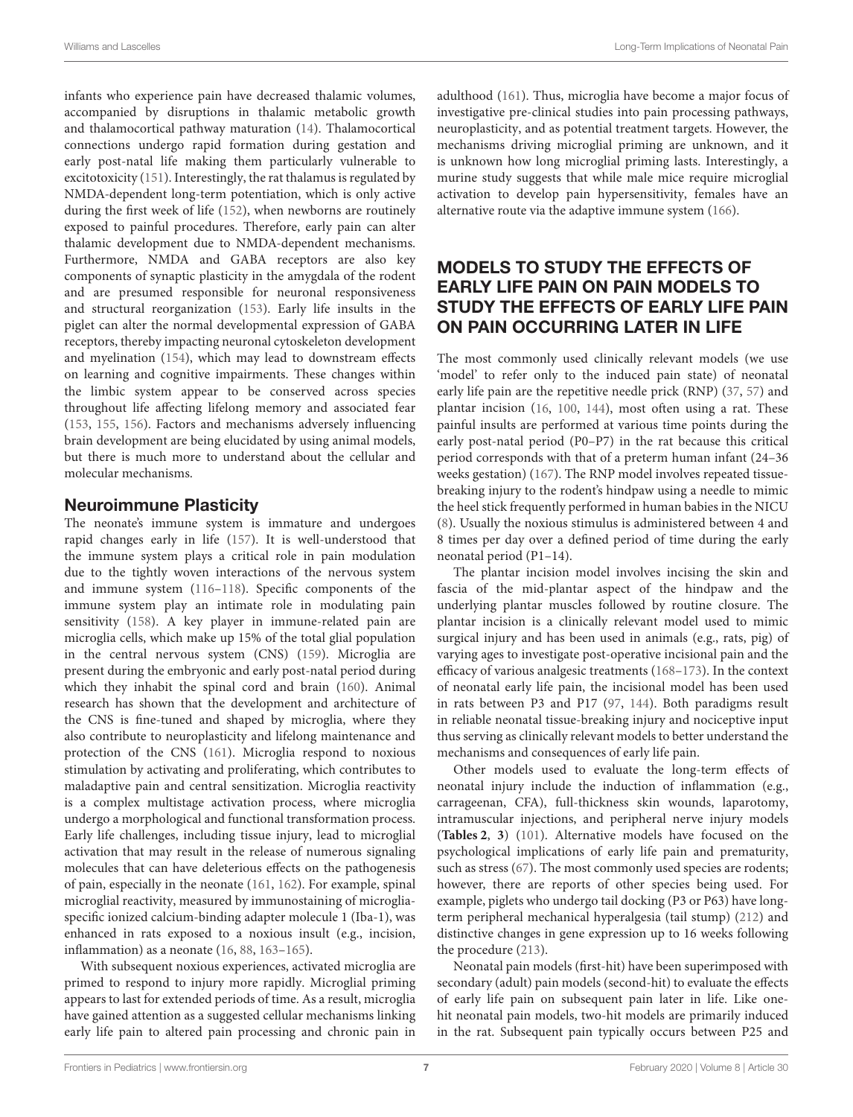infants who experience pain have decreased thalamic volumes, accompanied by disruptions in thalamic metabolic growth and thalamocortical pathway maturation [\(14\)](#page-12-37). Thalamocortical connections undergo rapid formation during gestation and early post-natal life making them particularly vulnerable to excitotoxicity [\(151\)](#page-15-19). Interestingly, the rat thalamus is regulated by NMDA-dependent long-term potentiation, which is only active during the first week of life [\(152\)](#page-15-20), when newborns are routinely exposed to painful procedures. Therefore, early pain can alter thalamic development due to NMDA-dependent mechanisms. Furthermore, NMDA and GABA receptors are also key components of synaptic plasticity in the amygdala of the rodent and are presumed responsible for neuronal responsiveness and structural reorganization [\(153\)](#page-15-21). Early life insults in the piglet can alter the normal developmental expression of GABA receptors, thereby impacting neuronal cytoskeleton development and myelination [\(154\)](#page-15-22), which may lead to downstream effects on learning and cognitive impairments. These changes within the limbic system appear to be conserved across species throughout life affecting lifelong memory and associated fear [\(153,](#page-15-21) [155,](#page-15-23) [156\)](#page-15-24). Factors and mechanisms adversely influencing brain development are being elucidated by using animal models, but there is much more to understand about the cellular and molecular mechanisms.

### Neuroimmune Plasticity

The neonate's immune system is immature and undergoes rapid changes early in life [\(157\)](#page-15-25). It is well-understood that the immune system plays a critical role in pain modulation due to the tightly woven interactions of the nervous system and immune system [\(116–](#page-14-24)[118\)](#page-14-25). Specific components of the immune system play an intimate role in modulating pain sensitivity [\(158\)](#page-15-26). A key player in immune-related pain are microglia cells, which make up 15% of the total glial population in the central nervous system (CNS) [\(159\)](#page-15-27). Microglia are present during the embryonic and early post-natal period during which they inhabit the spinal cord and brain [\(160\)](#page-15-28). Animal research has shown that the development and architecture of the CNS is fine-tuned and shaped by microglia, where they also contribute to neuroplasticity and lifelong maintenance and protection of the CNS [\(161\)](#page-15-29). Microglia respond to noxious stimulation by activating and proliferating, which contributes to maladaptive pain and central sensitization. Microglia reactivity is a complex multistage activation process, where microglia undergo a morphological and functional transformation process. Early life challenges, including tissue injury, lead to microglial activation that may result in the release of numerous signaling molecules that can have deleterious effects on the pathogenesis of pain, especially in the neonate [\(161,](#page-15-29) [162\)](#page-15-30). For example, spinal microglial reactivity, measured by immunostaining of microgliaspecific ionized calcium-binding adapter molecule 1 (Iba-1), was enhanced in rats exposed to a noxious insult (e.g., incision, inflammation) as a neonate [\(16,](#page-12-4) [88,](#page-13-35) [163](#page-15-31)[–165\)](#page-15-32).

With subsequent noxious experiences, activated microglia are primed to respond to injury more rapidly. Microglial priming appears to last for extended periods of time. As a result, microglia have gained attention as a suggested cellular mechanisms linking early life pain to altered pain processing and chronic pain in adulthood [\(161\)](#page-15-29). Thus, microglia have become a major focus of investigative pre-clinical studies into pain processing pathways, neuroplasticity, and as potential treatment targets. However, the mechanisms driving microglial priming are unknown, and it is unknown how long microglial priming lasts. Interestingly, a murine study suggests that while male mice require microglial activation to develop pain hypersensitivity, females have an alternative route via the adaptive immune system [\(166\)](#page-15-33).

# MODELS TO STUDY THE EFFECTS OF EARLY LIFE PAIN ON PAIN MODELS TO STUDY THE EFFECTS OF EARLY LIFE PAIN ON PAIN OCCURRING LATER IN LIFE

The most commonly used clinically relevant models (we use 'model' to refer only to the induced pain state) of neonatal early life pain are the repetitive needle prick (RNP) [\(37,](#page-12-24) [57\)](#page-13-5) and plantar incision [\(16,](#page-12-4) [100,](#page-14-9) [144\)](#page-15-12), most often using a rat. These painful insults are performed at various time points during the early post-natal period (P0–P7) in the rat because this critical period corresponds with that of a preterm human infant (24–36 weeks gestation) [\(167\)](#page-15-34). The RNP model involves repeated tissuebreaking injury to the rodent's hindpaw using a needle to mimic the heel stick frequently performed in human babies in the NICU [\(8\)](#page-11-7). Usually the noxious stimulus is administered between 4 and 8 times per day over a defined period of time during the early neonatal period (P1–14).

The plantar incision model involves incising the skin and fascia of the mid-plantar aspect of the hindpaw and the underlying plantar muscles followed by routine closure. The plantar incision is a clinically relevant model used to mimic surgical injury and has been used in animals (e.g., rats, pig) of varying ages to investigate post-operative incisional pain and the efficacy of various analgesic treatments [\(168](#page-15-35)[–173\)](#page-15-36). In the context of neonatal early life pain, the incisional model has been used in rats between P3 and P17 [\(97,](#page-14-8) [144\)](#page-15-12). Both paradigms result in reliable neonatal tissue-breaking injury and nociceptive input thus serving as clinically relevant models to better understand the mechanisms and consequences of early life pain.

Other models used to evaluate the long-term effects of neonatal injury include the induction of inflammation (e.g., carrageenan, CFA), full-thickness skin wounds, laparotomy, intramuscular injections, and peripheral nerve injury models (**[Tables 2](#page-7-0)**, **[3](#page-7-1)**) [\(101\)](#page-14-10). Alternative models have focused on the psychological implications of early life pain and prematurity, such as stress [\(67\)](#page-13-15). The most commonly used species are rodents; however, there are reports of other species being used. For example, piglets who undergo tail docking (P3 or P63) have longterm peripheral mechanical hyperalgesia (tail stump) [\(212\)](#page-16-0) and distinctive changes in gene expression up to 16 weeks following the procedure [\(213\)](#page-17-0).

Neonatal pain models (first-hit) have been superimposed with secondary (adult) pain models (second-hit) to evaluate the effects of early life pain on subsequent pain later in life. Like onehit neonatal pain models, two-hit models are primarily induced in the rat. Subsequent pain typically occurs between P25 and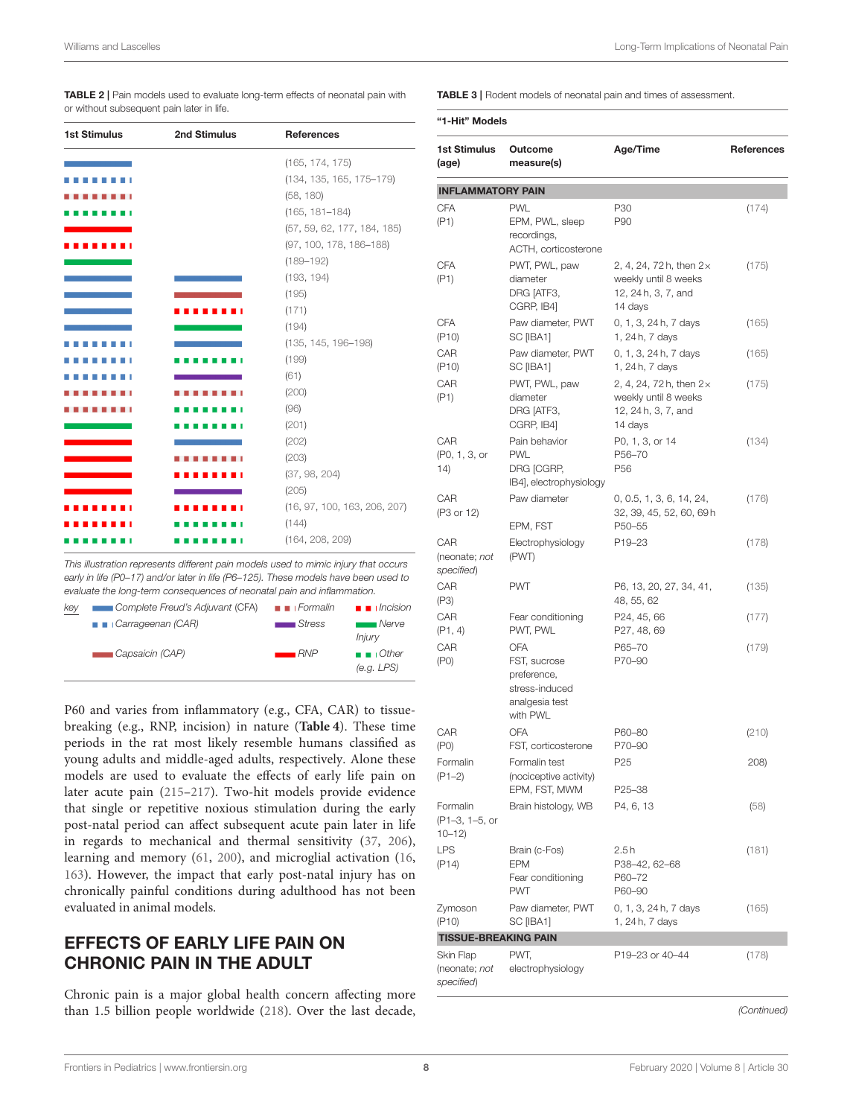<span id="page-7-0"></span>TABLE 2 | Pain models used to evaluate long-term effects of neonatal pain with or without subsequent pain later in life.

| <b>1st Stimulus</b> | 2nd Stimulus | <b>References</b>            |
|---------------------|--------------|------------------------------|
|                     |              | (165, 174, 175)              |
|                     |              | (134, 135, 165, 175-179)     |
|                     |              | (58, 180)                    |
|                     |              | $(165, 181 - 184)$           |
|                     |              | (57, 59, 62, 177, 184, 185)  |
|                     |              | (97, 100, 178, 186-188)      |
|                     |              | $(189 - 192)$                |
|                     |              | (193, 194)                   |
|                     |              | (195)                        |
|                     |              | (171)                        |
|                     |              | (194)                        |
|                     |              | $(135, 145, 196 - 198)$      |
|                     |              | (199)                        |
|                     |              | (61)                         |
|                     |              | (200)                        |
|                     |              | (96)                         |
|                     |              | (201)                        |
|                     |              | (202)                        |
|                     |              | (203)                        |
|                     |              | (37, 98, 204)                |
|                     |              | (205)                        |
|                     |              | (16, 97, 100, 163, 206, 207) |
|                     |              | (144)                        |
|                     |              | (164, 208, 209)              |

*This illustration represents different pain models used to mimic injury that occurs early in life (P0–17) and/or later in life (P6–125). These models have been used to evaluate the long-term consequences of neonatal pain and inflammation.*

| key | Complete Freud's Adjuvant (CFA) | $\blacksquare$ Formalin | $\blacksquare$ $Incision$           |
|-----|---------------------------------|-------------------------|-------------------------------------|
|     | <b>B</b> Carrageenan (CAR)      | $\blacksquare$ Stress   | Nerve                               |
|     |                                 |                         | <i>Injury</i>                       |
|     | Capsaicin (CAP)                 | RNP                     | $\blacksquare$ $\blacksquare$ Other |
|     |                                 |                         | (e.g. LPS)                          |
|     |                                 |                         |                                     |

P60 and varies from inflammatory (e.g., CFA, CAR) to tissuebreaking (e.g., RNP, incision) in nature (**[Table 4](#page-9-0)**). These time periods in the rat most likely resemble humans classified as young adults and middle-aged adults, respectively. Alone these models are used to evaluate the effects of early life pain on later acute pain [\(215](#page-17-1)[–217\)](#page-17-2). Two-hit models provide evidence that single or repetitive noxious stimulation during the early post-natal period can affect subsequent acute pain later in life in regards to mechanical and thermal sensitivity [\(37,](#page-12-24) [206\)](#page-16-25), learning and memory [\(61,](#page-13-9) [200\)](#page-16-19), and microglial activation [\(16,](#page-12-4) [163\)](#page-15-31). However, the impact that early post-natal injury has on chronically painful conditions during adulthood has not been evaluated in animal models.

# EFFECTS OF EARLY LIFE PAIN ON CHRONIC PAIN IN THE ADULT

Chronic pain is a major global health concern affecting more than 1.5 billion people worldwide [\(218\)](#page-17-3). Over the last decade, <span id="page-7-1"></span>TABLE 3 | Rodent models of neonatal pain and times of assessment.

| "1-Hit" Models                           |                                                                                           |                                                                                         |                   |  |  |  |  |  |
|------------------------------------------|-------------------------------------------------------------------------------------------|-----------------------------------------------------------------------------------------|-------------------|--|--|--|--|--|
| <b>1st Stimulus</b><br>(age)             | Outcome<br>measure(s)                                                                     | Age/Time                                                                                | <b>References</b> |  |  |  |  |  |
| <b>INFLAMMATORY PAIN</b>                 |                                                                                           |                                                                                         |                   |  |  |  |  |  |
| <b>CFA</b><br>(P1)                       | <b>PWL</b><br>EPM, PWL, sleep<br>recordings,<br>ACTH, corticosterone                      | P30<br>P90                                                                              | (174)             |  |  |  |  |  |
| CFA<br>(P1)                              | PWT, PWL, paw<br>diameter<br>DRG [ATF3,<br>CGRP, IB4]                                     | 2, 4, 24, 72h, then $2 \times$<br>weekly until 8 weeks<br>12, 24h, 3, 7, and<br>14 days | (175)             |  |  |  |  |  |
| <b>CFA</b><br>( P10)                     | Paw diameter, PWT<br>SC [IBA1]                                                            | 0, 1, 3, 24 h, 7 days<br>1, 24 h, 7 days                                                | (165)             |  |  |  |  |  |
| CAR<br>( P10)                            | Paw diameter, PWT<br>SC [IBA1]                                                            | 0, 1, 3, 24 h, 7 days<br>1, 24 h, 7 days                                                | (165)             |  |  |  |  |  |
| CAR<br>(P1)                              | PWT, PWL, paw<br>diameter<br>DRG [ATF3,<br>CGRP, IB4]                                     | 2, 4, 24, 72h, then 2×<br>weekly until 8 weeks<br>12, 24 h, 3, 7, and<br>14 days        | (175)             |  |  |  |  |  |
| CAR<br>(P0, 1, 3, or<br>14)              | Pain behavior<br><b>PWL</b><br>DRG [CGRP,<br>IB4], electrophysiology                      | P0, 1, 3, or 14<br>P56-70<br>P <sub>56</sub>                                            | (134)             |  |  |  |  |  |
| CAR<br>(P3 or 12)                        | Paw diameter<br>EPM, FST                                                                  | 0, 0.5, 1, 3, 6, 14, 24,<br>32, 39, 45, 52, 60, 69h<br>P50-55                           | (176)             |  |  |  |  |  |
| CAR<br>(neonate; not<br>specified)       | Electrophysiology<br>(PWT)                                                                | P19-23                                                                                  | (178)             |  |  |  |  |  |
| CAR<br>(P3)                              | <b>PWT</b>                                                                                | P6, 13, 20, 27, 34, 41,<br>48, 55, 62                                                   | (135)             |  |  |  |  |  |
| CAR<br>(P1, 4)                           | Fear conditioning<br>PWT, PWL                                                             | P24, 45, 66<br>P27, 48, 69                                                              | (177)             |  |  |  |  |  |
| CAR<br>(PO)                              | <b>OFA</b><br>FST, sucrose<br>preference,<br>stress-induced<br>analgesia test<br>with PWL | P65-70<br>P70-90                                                                        | (179)             |  |  |  |  |  |
| CAR<br>(PO)                              | <b>OFA</b><br>FST, corticosterone                                                         | P60-80<br>P70-90                                                                        | (210)             |  |  |  |  |  |
| Formalin<br>$(P1 - 2)$                   | Formalin test<br>(nociceptive activity)<br>EPM, FST, MWM                                  | P <sub>25</sub><br>P25-38                                                               | 208)              |  |  |  |  |  |
| Formalin<br>(P1-3, 1-5, or<br>$10 - 12$  | Brain histology, WB                                                                       | P4, 6, 13                                                                               | (58)              |  |  |  |  |  |
| <b>LPS</b><br>(P14)                      | Brain (c-Fos)<br><b>EPM</b><br>Fear conditioning<br><b>PWT</b>                            | 2.5 h<br>P38-42, 62-68<br>P60-72<br>P60-90                                              | (181)             |  |  |  |  |  |
| Zymoson<br>( P10)                        | Paw diameter, PWT<br>SC [IBA1]                                                            | 0, 1, 3, 24 h, 7 days<br>1, 24 h, 7 days                                                | (165)             |  |  |  |  |  |
| <b>TISSUE-BREAKING PAIN</b>              |                                                                                           |                                                                                         |                   |  |  |  |  |  |
| Skin Flap<br>(neonate; not<br>specified) | PWT,<br>electrophysiology                                                                 | P19-23 or 40-44                                                                         | (178)             |  |  |  |  |  |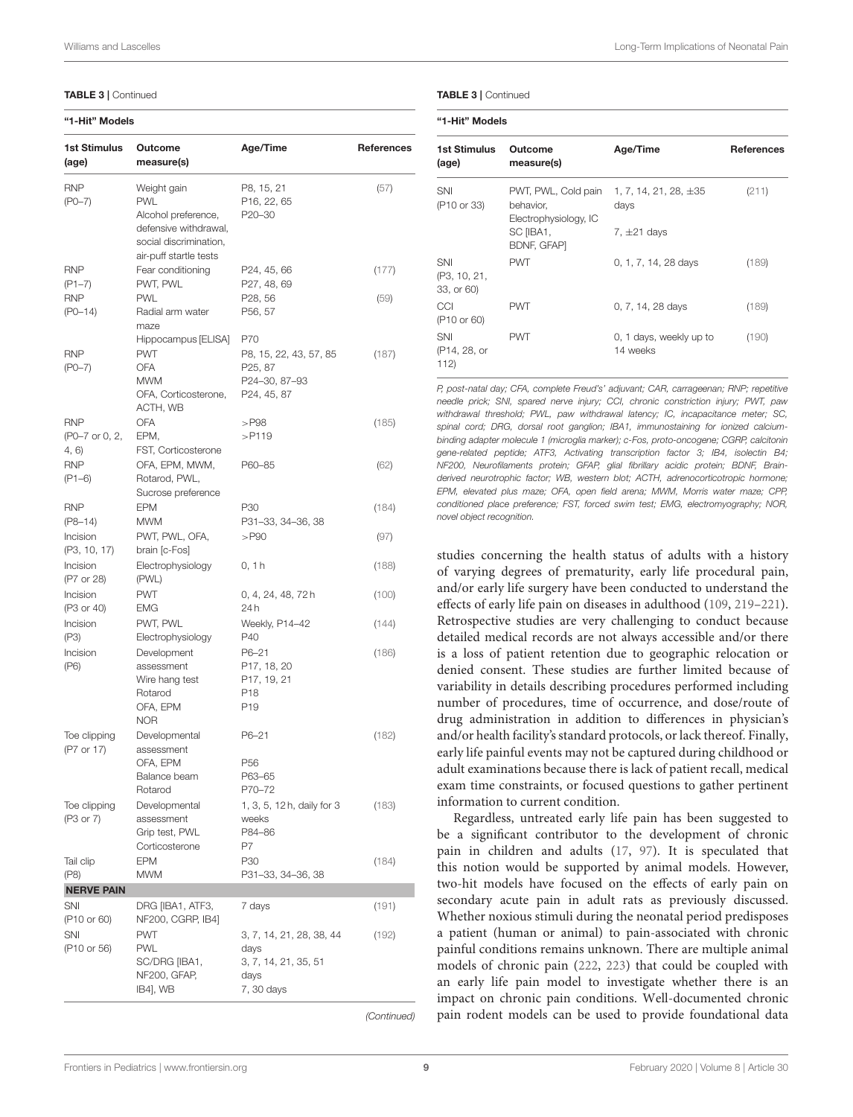#### TABLE 3 | Continued

#### "1-Hit" Models

| 1st Stimulus<br>(age)                 | Outcome<br>measure(s)                                                                                                         | Age/Time                                                                                           | References  |
|---------------------------------------|-------------------------------------------------------------------------------------------------------------------------------|----------------------------------------------------------------------------------------------------|-------------|
| <b>RNP</b><br>$(PO-7)$                | Weight gain<br><b>PWL</b><br>Alcohol preference,<br>defensive withdrawal,<br>social discrimination,<br>air-puff startle tests | P8, 15, 21<br>P16, 22, 65<br>P20-30                                                                | (57)        |
| <b>RNP</b><br>$(P1 - 7)$              | Fear conditioning<br>PWT, PWL                                                                                                 | P24, 45, 66<br>P27, 48, 69                                                                         | (177)       |
| <b>RNP</b><br>$(PO-14)$               | <b>PWL</b><br>Radial arm water<br>maze                                                                                        | P28, 56<br>P56, 57                                                                                 | (59)        |
| <b>RNP</b><br>$(PO - 7)$              | Hippocampus [ELISA]<br><b>PWT</b><br><b>OFA</b><br><b>MWM</b><br>OFA, Corticosterone,<br>ACTH, WB                             | P70<br>P8, 15, 22, 43, 57, 85<br>P <sub>25</sub> , 87<br>P24-30, 87-93<br>P <sub>24</sub> , 45, 87 | (187)       |
| <b>RNP</b><br>(P0-7 or 0, 2,<br>4, 6) | <b>OFA</b><br>EPM,<br>FST, Corticosterone                                                                                     | $>$ P98<br>$>$ P119                                                                                | (185)       |
| <b>RNP</b><br>$(P1 - 6)$              | OFA, EPM, MWM,<br>Rotarod, PWL,<br>Sucrose preference                                                                         | P60-85                                                                                             | (62)        |
| <b>RNP</b><br>$(P8-14)$               | <b>EPM</b><br>MWM                                                                                                             | P30<br>P31-33, 34-36, 38                                                                           | (184)       |
| Incision<br>(P3, 10, 17)              | PWT, PWL, OFA,<br>brain [c-Fos]                                                                                               | $>$ P90                                                                                            | (97)        |
| Incision<br>(P7 or 28)                | Electrophysiology<br>(PWL)                                                                                                    | 0, 1 h                                                                                             | (188)       |
| Incision<br>(P3 or 40)                | <b>PWT</b><br><b>EMG</b>                                                                                                      | 0, 4, 24, 48, 72 h<br>24 h                                                                         | (100)       |
| Incision<br>(P3)                      | PWT, PWL<br>Electrophysiology                                                                                                 | Weekly, P14-42<br>P40                                                                              | (144)       |
| Incision<br>(P6)                      | Development<br>assessment<br>Wire hang test<br>Rotarod<br>OFA, EPM<br><b>NOR</b>                                              | P6-21<br>P17, 18, 20<br>P17, 19, 21<br>P18<br>P19                                                  | (186)       |
| Toe clipping<br>(P7 or 17)            | Developmental<br>assessment<br>OFA, EPM<br>Balance beam<br>Rotarod                                                            | P6-21<br>P <sub>56</sub><br>P63-65<br>P70-72                                                       | (182)       |
| Toe clipping<br>(P3 or 7)             | Developmental<br>assessment<br>Grip test, PWL<br>Corticosterone                                                               | 1, 3, 5, 12 h, daily for 3<br>weeks<br>P84-86<br>P7                                                | (183)       |
| Tail clip<br>(P8)                     | <b>EPM</b><br><b>MWM</b>                                                                                                      | P30<br>P31-33, 34-36, 38                                                                           | (184)       |
| <b>NERVE PAIN</b>                     |                                                                                                                               |                                                                                                    |             |
| SNI<br>(P10 or 60)                    | DRG [IBA1, ATF3,<br>NF200, CGRP, IB4]                                                                                         | 7 days                                                                                             | (191)       |
| SNI<br>(P10 or 56)                    | <b>PWT</b><br><b>PWL</b><br>SC/DRG [IBA1,<br>NF200, GFAP,<br>IB4], WB                                                         | 3, 7, 14, 21, 28, 38, 44<br>days<br>3, 7, 14, 21, 35, 51<br>days<br>7, 30 days                     | (192)       |
|                                       |                                                                                                                               |                                                                                                    | (Continued) |

effects of early life pain on diseases in adulthood [\(109,](#page-14-18) [219](#page-17-4)[–221\)](#page-17-5). Retrospective studies are very challenging to conduct because detailed medical records are not always accessible and/or there is a loss of patient retention due to geographic relocation or denied consent. These studies are further limited because of variability in details describing procedures performed including number of procedures, time of occurrence, and dose/route of drug administration in addition to differences in physician's and/or health facility's standard protocols, or lack thereof. Finally, early life painful events may not be captured during childhood or adult examinations because there is lack of patient recall, medical exam time constraints, or focused questions to gather pertinent information to current condition.

Regardless, untreated early life pain has been suggested to be a significant contributor to the development of chronic pain in children and adults [\(17,](#page-12-5) [97\)](#page-14-8). It is speculated that this notion would be supported by animal models. However, two-hit models have focused on the effects of early pain on secondary acute pain in adult rats as previously discussed. Whether noxious stimuli during the neonatal period predisposes a patient (human or animal) to pain-associated with chronic painful conditions remains unknown. There are multiple animal models of chronic pain [\(222,](#page-17-6) [223\)](#page-17-7) that could be coupled with an early life pain model to investigate whether there is an impact on chronic pain conditions. Well-documented chronic pain rodent models can be used to provide foundational data

#### TABLE 3 | Continued

|  | "1-Hit" Models |
|--|----------------|
|--|----------------|

| <b>1st Stimulus</b><br>(age)      | Outcome<br>measure(s)                                     | Age/Time                            | <b>References</b> |
|-----------------------------------|-----------------------------------------------------------|-------------------------------------|-------------------|
| SNI<br>(P <sub>10</sub> or 33)    | PWT, PWL, Cold pain<br>behavior,<br>Electrophysiology, IC | 1, 7, 14, 21, 28, $\pm 35$<br>days  | (211)             |
|                                   | SC [IBA1,<br><b>BDNF, GFAP)</b>                           | 7, $\pm$ 21 days                    |                   |
| SNI<br>(P3, 10, 21,<br>33, or 60) | <b>PWT</b>                                                | 0, 1, 7, 14, 28 days                | (189)             |
| CCI<br>(P <sub>10</sub> or 60)    | <b>PWT</b>                                                | 0, 7, 14, 28 days                   | (189)             |
| SNI<br>(P14, 28, or<br>112)       | <b>PWT</b>                                                | 0, 1 days, weekly up to<br>14 weeks | (190)             |

*P, post-natal day; CFA, complete Freud's' adjuvant; CAR, carrageenan; RNP; repetitive needle prick; SNI, spared nerve injury; CCI, chronic constriction injury; PWT, paw withdrawal threshold; PWL, paw withdrawal latency; IC, incapacitance meter; SC, spinal cord; DRG, dorsal root ganglion; IBA1, immunostaining for ionized calciumbinding adapter molecule 1 (microglia marker); c-Fos, proto-oncogene; CGRP, calcitonin gene-related peptide; ATF3, Activating transcription factor 3; IB4, isolectin B4; NF200, Neurofilaments protein; GFAP, glial fibrillary acidic protein; BDNF, Brainderived neurotrophic factor; WB, western blot; ACTH, adrenocorticotropic hormone; EPM, elevated plus maze; OFA, open field arena; MWM, Morris water maze; CPP, conditioned place preference; FST, forced swim test; EMG, electromyography; NOR, novel object recognition.*

studies concerning the health status of adults with a history of varying degrees of prematurity, early life procedural pain, and/or early life surgery have been conducted to understand the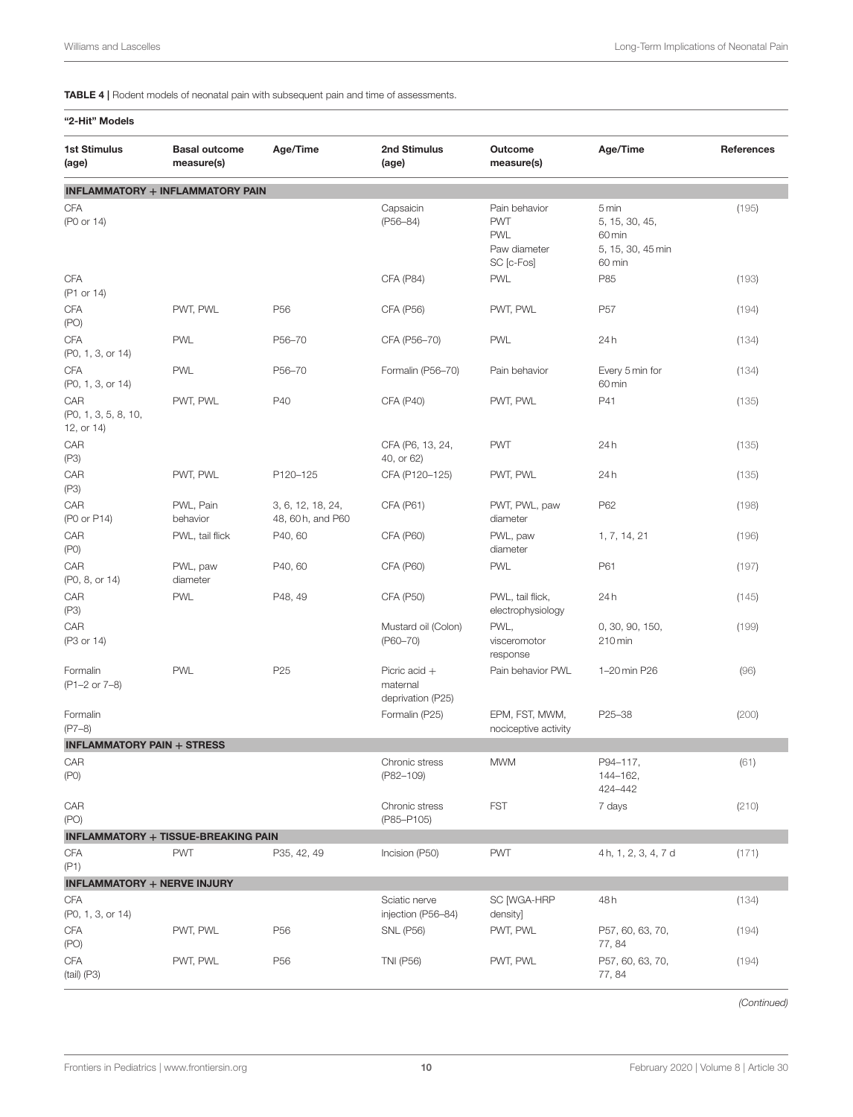<span id="page-9-0"></span>TABLE 4 | Rodent models of neonatal pain with subsequent pain and time of assessments.

| "2-Hit" Models                            |                                            |                                        |                                                  |                                                                         |                                                                  |            |
|-------------------------------------------|--------------------------------------------|----------------------------------------|--------------------------------------------------|-------------------------------------------------------------------------|------------------------------------------------------------------|------------|
| <b>1st Stimulus</b><br>(age)              | <b>Basal outcome</b><br>measure(s)         | Age/Time                               | 2nd Stimulus<br>(age)                            | Outcome<br>measure(s)                                                   | Age/Time                                                         | References |
|                                           | <b>INFLAMMATORY + INFLAMMATORY PAIN</b>    |                                        |                                                  |                                                                         |                                                                  |            |
| CFA<br>(P0 or 14)                         |                                            |                                        | Capsaicin<br>$(P56 - 84)$                        | Pain behavior<br><b>PWT</b><br><b>PWL</b><br>Paw diameter<br>SC [c-Fos] | 5 min<br>5, 15, 30, 45,<br>60 min<br>5, 15, 30, 45 min<br>60 min | (195)      |
| CFA<br>(P1 or 14)                         |                                            |                                        | <b>CFA (P84)</b>                                 | <b>PWL</b>                                                              | P85                                                              | (193)      |
| CFA<br>(PO)                               | PWT, PWL                                   | P <sub>56</sub>                        | <b>CFA (P56)</b>                                 | PWT, PWL                                                                | P <sub>57</sub>                                                  | (194)      |
| CFA<br>(P0, 1, 3, or 14)                  | <b>PWL</b>                                 | P56-70                                 | CFA (P56-70)                                     | <b>PWL</b>                                                              | 24h                                                              | (134)      |
| CFA<br>(P0, 1, 3, or 14)                  | <b>PWL</b>                                 | P56-70                                 | Formalin (P56-70)                                | Pain behavior                                                           | Every 5 min for<br>60 min                                        | (134)      |
| CAR<br>(P0, 1, 3, 5, 8, 10,<br>12, or 14) | PWT, PWL                                   | P40                                    | CFA (P40)                                        | PWT, PWL                                                                | P41                                                              | (135)      |
| CAR<br>(P3)                               |                                            |                                        | CFA (P6, 13, 24,<br>40, or 62)                   | <b>PWT</b>                                                              | 24h                                                              | (135)      |
| CAR<br>(P3)                               | PWT, PWL                                   | P120-125                               | CFA (P120-125)                                   | PWT, PWL                                                                | 24h                                                              | (135)      |
| CAR<br>(P0 or P14)                        | PWL, Pain<br>behavior                      | 3, 6, 12, 18, 24,<br>48, 60 h, and P60 | CFA (P61)                                        | PWT, PWL, paw<br>diameter                                               | P62                                                              | (198)      |
| CAR<br>(PO)                               | PWL, tail flick                            | P40, 60                                | CFA (P60)                                        | PWL, paw<br>diameter                                                    | 1, 7, 14, 21                                                     | (196)      |
| CAR<br>(P0, 8, or 14)                     | PWL, paw<br>diameter                       | P40, 60                                | <b>CFA (P60)</b>                                 | <b>PWL</b>                                                              | P61                                                              | (197)      |
| CAR<br>(P3)                               | <b>PWL</b>                                 | P48, 49                                | CFA (P50)                                        | PWL, tail flick,<br>electrophysiology                                   | 24h                                                              | (145)      |
| CAR<br>(P3 or 14)                         |                                            |                                        | Mustard oil (Colon)<br>$(P60 - 70)$              | PWL,<br>visceromotor<br>response                                        | 0, 30, 90, 150,<br>210 min                                       | (199)      |
| Formalin<br>(P1-2 or 7-8)                 | <b>PWL</b>                                 | P <sub>25</sub>                        | Picric acid $+$<br>maternal<br>deprivation (P25) | Pain behavior PWL                                                       | 1-20 min P26                                                     | (96)       |
| Formalin<br>$(P7-8)$                      |                                            |                                        | Formalin (P25)                                   | EPM, FST, MWM,<br>nociceptive activity                                  | P25-38                                                           | (200)      |
| <b>INFLAMMATORY PAIN + STRESS</b>         |                                            |                                        |                                                  |                                                                         |                                                                  |            |
| CAR<br>(PO)                               |                                            |                                        | Chronic stress<br>(P82-109)                      | <b>MWM</b>                                                              | P94-117,<br>144-162.<br>424-442                                  | (61)       |
| CAR<br>(PO)                               |                                            |                                        | Chronic stress<br>(P85-P105)                     | <b>FST</b>                                                              | 7 days                                                           | (210)      |
|                                           | <b>INFLAMMATORY + TISSUE-BREAKING PAIN</b> |                                        |                                                  |                                                                         |                                                                  |            |
| CFA<br>(P1)                               | <b>PWT</b>                                 | P35, 42, 49                            | Incision (P50)                                   | <b>PWT</b>                                                              | 4h, 1, 2, 3, 4, 7 d                                              | (171)      |
| <b>INFLAMMATORY + NERVE INJURY</b>        |                                            |                                        |                                                  |                                                                         |                                                                  |            |
| CFA<br>(P0, 1, 3, or 14)                  |                                            |                                        | Sciatic nerve<br>injection (P56-84)              | SC [WGA-HRP<br>density]                                                 | 48 h                                                             | (134)      |
| CFA<br>(PO)                               | PWT, PWL                                   | P <sub>56</sub>                        | <b>SNL (P56)</b>                                 | PWT, PWL                                                                | P57, 60, 63, 70,<br>77, 84                                       | (194)      |
| CFA<br>$(tail)$ (P3)                      | PWT, PWL                                   | P <sub>56</sub>                        | <b>TNI (P56)</b>                                 | PWT, PWL                                                                | P57, 60, 63, 70,<br>77, 84                                       | (194)      |

*(Continued)*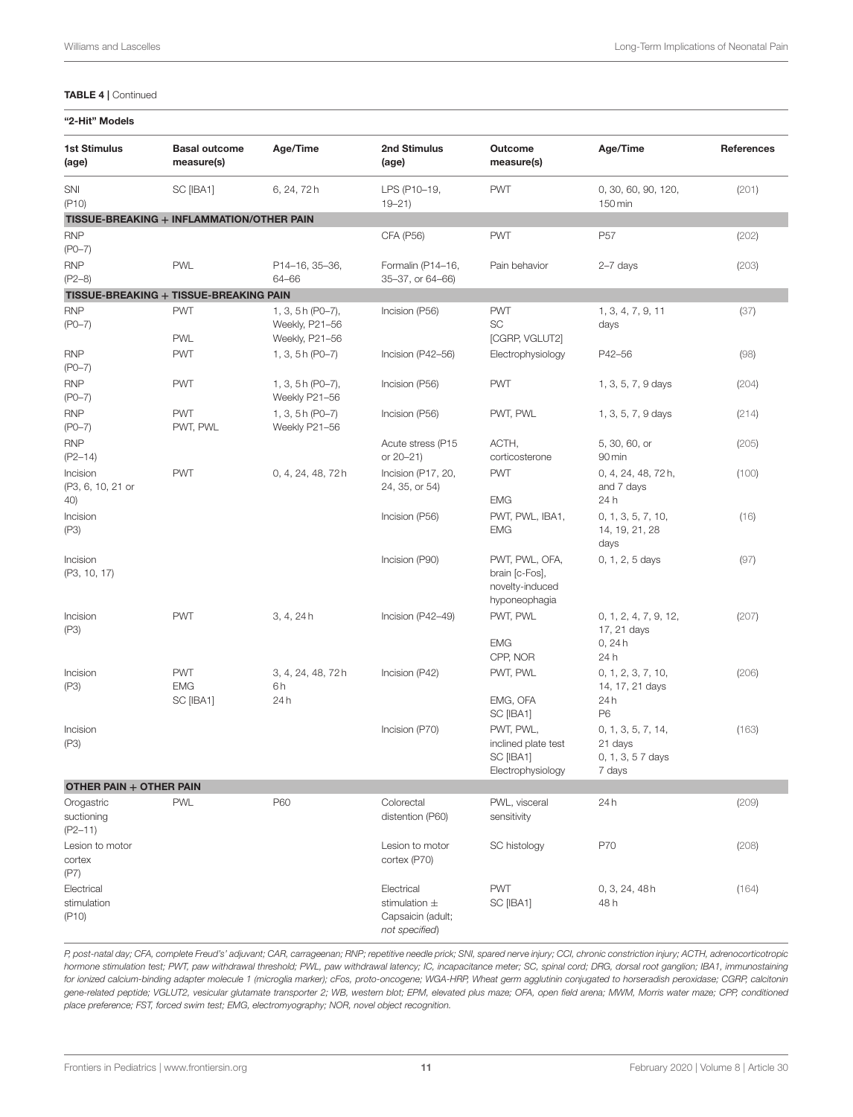#### TABLE 4 | Continued

| <b>1st Stimulus</b>                     | <b>Basal outcome</b>                      | Age/Time                         | 2nd Stimulus                                                           | Outcome                                                              | Age/Time                                                     | References |
|-----------------------------------------|-------------------------------------------|----------------------------------|------------------------------------------------------------------------|----------------------------------------------------------------------|--------------------------------------------------------------|------------|
| (age)                                   | measure(s)                                |                                  | (age)                                                                  | measure(s)                                                           |                                                              |            |
| SNI                                     | SC [IBA1]                                 | 6, 24, 72h                       | LPS (P10-19,                                                           | <b>PWT</b>                                                           | 0, 30, 60, 90, 120,                                          | (201)      |
| ( P10)                                  | TISSUE-BREAKING + INFLAMMATION/OTHER PAIN |                                  | $19 - 21$                                                              |                                                                      | 150 min                                                      |            |
|                                         |                                           |                                  |                                                                        |                                                                      |                                                              |            |
| <b>RNP</b><br>$(PO-7)$                  |                                           |                                  | CFA (P56)                                                              | <b>PWT</b>                                                           | P <sub>57</sub>                                              | (202)      |
| <b>RNP</b>                              | <b>PWL</b>                                | P14-16, 35-36,                   | Formalin (P14-16,                                                      | Pain behavior                                                        | $2-7$ days                                                   | (203)      |
| $(P2-8)$                                |                                           | 64-66                            | 35-37, or 64-66)                                                       |                                                                      |                                                              |            |
|                                         | TISSUE-BREAKING + TISSUE-BREAKING PAIN    |                                  |                                                                        |                                                                      |                                                              |            |
| <b>RNP</b>                              | <b>PWT</b>                                | 1, 3, 5h (P0-7),                 | Incision (P56)                                                         | <b>PWT</b>                                                           | 1, 3, 4, 7, 9, 11                                            | (37)       |
| $(PO-7)$                                | <b>PWL</b>                                | Weekly, P21-56<br>Weekly, P21-56 |                                                                        | SC<br>[CGRP, VGLUT2]                                                 | days                                                         |            |
| <b>RNP</b>                              | <b>PWT</b>                                | 1, 3, 5h (P0-7)                  | Incision (P42-56)                                                      | Electrophysiology                                                    | P42-56                                                       | (98)       |
| $(PO-7)$                                |                                           |                                  |                                                                        |                                                                      |                                                              |            |
| <b>RNP</b>                              | <b>PWT</b>                                | 1, 3, 5 h (P0-7),                | Incision (P56)                                                         | <b>PWT</b>                                                           | 1, 3, 5, 7, 9 days                                           | (204)      |
| $(PO - 7)$                              |                                           | Weekly P21-56                    |                                                                        |                                                                      |                                                              |            |
| <b>RNP</b><br>$(PO-7)$                  | <b>PWT</b><br>PWT, PWL                    | 1, 3, 5h (P0-7)<br>Weekly P21-56 | Incision (P56)                                                         | PWT, PWL                                                             | 1, 3, 5, 7, 9 days                                           | (214)      |
| <b>RNP</b><br>$(P2 - 14)$               |                                           |                                  | Acute stress (P15<br>or 20-21)                                         | ACTH,<br>corticosterone                                              | 5, 30, 60, or<br>90 min                                      | (205)      |
| Incision<br>(P3, 6, 10, 21 or           | <b>PWT</b>                                | 0, 4, 24, 48, 72h                | Incision (P17, 20,<br>24, 35, or 54)                                   | <b>PWT</b>                                                           | 0, 4, 24, 48, 72h,<br>and 7 days                             | (100)      |
| 40)                                     |                                           |                                  |                                                                        | <b>EMG</b>                                                           | 24 h                                                         |            |
| Incision<br>(P3)                        |                                           |                                  | Incision (P56)                                                         | PWT, PWL, IBA1,<br><b>EMG</b>                                        | 0, 1, 3, 5, 7, 10,<br>14, 19, 21, 28<br>days                 | (16)       |
| Incision<br>(P3, 10, 17)                |                                           |                                  | Incision (P90)                                                         | PWT, PWL, OFA,<br>brain [c-Fos],<br>novelty-induced<br>hyponeophagia | 0, 1, 2, 5 days                                              | (97)       |
| Incision<br>(P3)                        | <b>PWT</b>                                | 3, 4, 24h                        | Incision (P42-49)                                                      | PWT, PWL<br><b>EMG</b><br>CPP, NOR                                   | 0, 1, 2, 4, 7, 9, 12,<br>17, 21 days<br>0, 24h<br>24 h       | (207)      |
| Incision<br>(P3)                        | <b>PWT</b><br><b>EMG</b>                  | 3, 4, 24, 48, 72h<br>6h          | Incision (P42)                                                         | PWT, PWL                                                             | 0, 1, 2, 3, 7, 10,<br>14, 17, 21 days                        | (206)      |
|                                         | SC [IBA1]                                 | 24h                              |                                                                        | EMG, OFA<br>SC [IBA1]                                                | 24h<br>P <sub>6</sub>                                        |            |
| Incision<br>(P3)                        |                                           |                                  | Incision (P70)                                                         | PWT, PWL,<br>inclined plate test<br>SC [IBA1]<br>Electrophysiology   | 0, 1, 3, 5, 7, 14,<br>21 days<br>0, 1, 3, 5 7 days<br>7 days | (163)      |
| OTHER PAIN + OTHER PAIN                 |                                           |                                  |                                                                        |                                                                      |                                                              |            |
| Orogastric<br>suctioning<br>$(P2 - 11)$ | <b>PWL</b>                                | P60                              | Colorectal<br>distention (P60)                                         | PWL, visceral<br>sensitivity                                         | 24h                                                          | (209)      |
| Lesion to motor<br>cortex<br>(P7)       |                                           |                                  | Lesion to motor<br>cortex (P70)                                        | SC histology                                                         | P70                                                          | (208)      |
| Electrical<br>stimulation<br>( P10)     |                                           |                                  | Electrical<br>stimulation $\pm$<br>Capsaicin (adult;<br>not specified) | <b>PWT</b><br>SC [IBA1]                                              | 0, 3, 24, 48h<br>48 h                                        | (164)      |

*P, post-natal day; CFA, complete Freud's' adjuvant; CAR, carrageenan; RNP; repetitive needle prick; SNI, spared nerve injury; CCI, chronic constriction injury; ACTH, adrenocorticotropic hormone stimulation test; PWT, paw withdrawal threshold; PWL, paw withdrawal latency; IC, incapacitance meter; SC, spinal cord; DRG, dorsal root ganglion; IBA1, immunostaining for ionized calcium-binding adapter molecule 1 (microglia marker); cFos, proto-oncogene; WGA-HRP, Wheat germ agglutinin conjugated to horseradish peroxidase; CGRP, calcitonin gene-related peptide; VGLUT2, vesicular glutamate transporter 2; WB, western blot; EPM, elevated plus maze; OFA, open field arena; MWM, Morris water maze; CPP, conditioned place preference; FST, forced swim test; EMG, electromyography; NOR, novel object recognition.*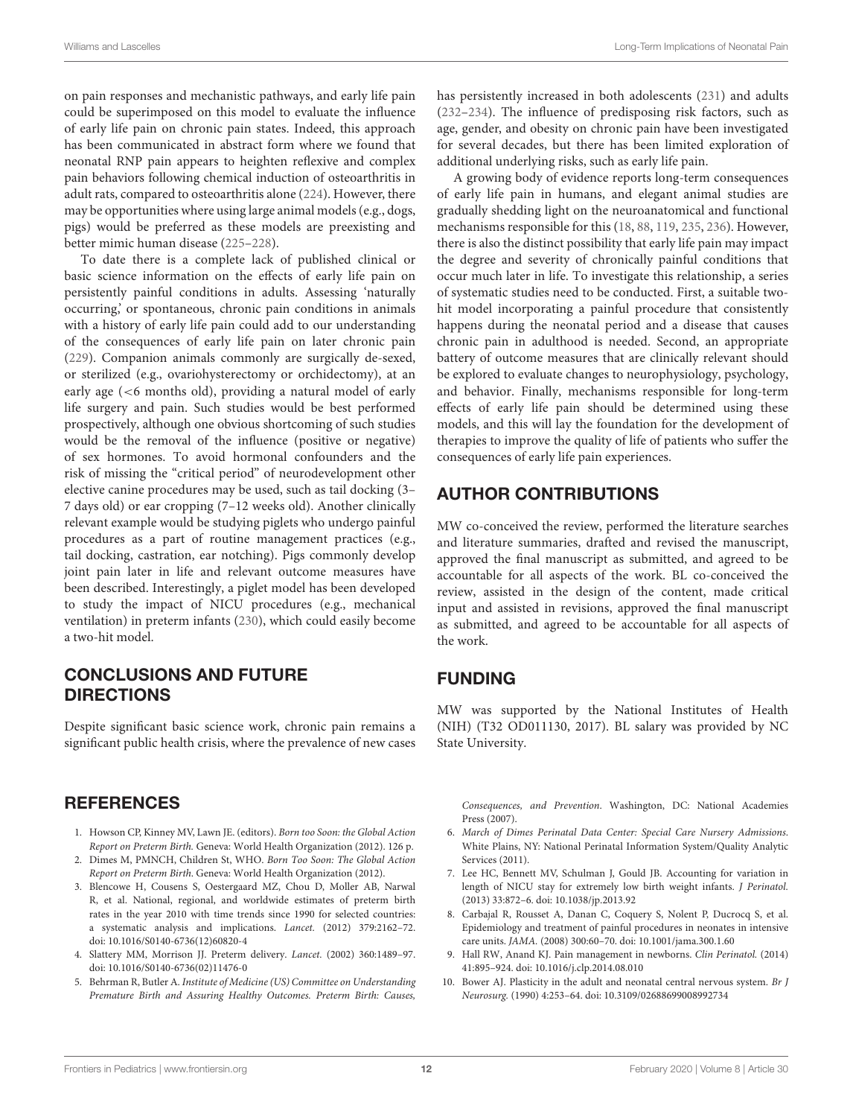on pain responses and mechanistic pathways, and early life pain could be superimposed on this model to evaluate the influence of early life pain on chronic pain states. Indeed, this approach has been communicated in abstract form where we found that neonatal RNP pain appears to heighten reflexive and complex pain behaviors following chemical induction of osteoarthritis in adult rats, compared to osteoarthritis alone [\(224\)](#page-17-9). However, there may be opportunities where using large animal models (e.g., dogs, pigs) would be preferred as these models are preexisting and better mimic human disease [\(225–](#page-17-10)[228\)](#page-17-11).

To date there is a complete lack of published clinical or basic science information on the effects of early life pain on persistently painful conditions in adults. Assessing 'naturally occurring,' or spontaneous, chronic pain conditions in animals with a history of early life pain could add to our understanding of the consequences of early life pain on later chronic pain [\(229\)](#page-17-12). Companion animals commonly are surgically de-sexed, or sterilized (e.g., ovariohysterectomy or orchidectomy), at an early age (<6 months old), providing a natural model of early life surgery and pain. Such studies would be best performed prospectively, although one obvious shortcoming of such studies would be the removal of the influence (positive or negative) of sex hormones. To avoid hormonal confounders and the risk of missing the "critical period" of neurodevelopment other elective canine procedures may be used, such as tail docking (3– 7 days old) or ear cropping (7–12 weeks old). Another clinically relevant example would be studying piglets who undergo painful procedures as a part of routine management practices (e.g., tail docking, castration, ear notching). Pigs commonly develop joint pain later in life and relevant outcome measures have been described. Interestingly, a piglet model has been developed to study the impact of NICU procedures (e.g., mechanical ventilation) in preterm infants [\(230\)](#page-17-13), which could easily become a two-hit model.

# CONCLUSIONS AND FUTURE **DIRECTIONS**

Despite significant basic science work, chronic pain remains a significant public health crisis, where the prevalence of new cases

### **REFERENCES**

- <span id="page-11-0"></span>1. Howson CP, Kinney MV, Lawn JE. (editors). Born too Soon: the Global Action Report on Preterm Birth. Geneva: World Health Organization (2012). 126 p.
- <span id="page-11-1"></span>2. Dimes M, PMNCH, Children St, WHO. Born Too Soon: The Global Action Report on Preterm Birth. Geneva: World Health Organization (2012).
- <span id="page-11-2"></span>3. Blencowe H, Cousens S, Oestergaard MZ, Chou D, Moller AB, Narwal R, et al. National, regional, and worldwide estimates of preterm birth rates in the year 2010 with time trends since 1990 for selected countries: a systematic analysis and implications. Lancet. (2012) 379:2162–72. doi: [10.1016/S0140-6736\(12\)60820-4](https://doi.org/10.1016/S0140-6736(12)60820-4)
- <span id="page-11-3"></span>4. Slattery MM, Morrison JJ. Preterm delivery. Lancet. (2002) 360:1489–97. doi: [10.1016/S0140-6736\(02\)11476-0](https://doi.org/10.1016/S0140-6736(02)11476-0)
- <span id="page-11-4"></span>5. Behrman R, Butler A. Institute of Medicine (US) Committee on Understanding Premature Birth and Assuring Healthy Outcomes. Preterm Birth: Causes,

has persistently increased in both adolescents [\(231\)](#page-17-14) and adults [\(232–](#page-17-15)[234\)](#page-17-16). The influence of predisposing risk factors, such as age, gender, and obesity on chronic pain have been investigated for several decades, but there has been limited exploration of additional underlying risks, such as early life pain.

A growing body of evidence reports long-term consequences of early life pain in humans, and elegant animal studies are gradually shedding light on the neuroanatomical and functional mechanisms responsible for this [\(18,](#page-12-6) [88,](#page-13-35) [119,](#page-14-26) [235,](#page-17-17) [236\)](#page-17-18). However, there is also the distinct possibility that early life pain may impact the degree and severity of chronically painful conditions that occur much later in life. To investigate this relationship, a series of systematic studies need to be conducted. First, a suitable twohit model incorporating a painful procedure that consistently happens during the neonatal period and a disease that causes chronic pain in adulthood is needed. Second, an appropriate battery of outcome measures that are clinically relevant should be explored to evaluate changes to neurophysiology, psychology, and behavior. Finally, mechanisms responsible for long-term effects of early life pain should be determined using these models, and this will lay the foundation for the development of therapies to improve the quality of life of patients who suffer the consequences of early life pain experiences.

# AUTHOR CONTRIBUTIONS

MW co-conceived the review, performed the literature searches and literature summaries, drafted and revised the manuscript, approved the final manuscript as submitted, and agreed to be accountable for all aspects of the work. BL co-conceived the review, assisted in the design of the content, made critical input and assisted in revisions, approved the final manuscript as submitted, and agreed to be accountable for all aspects of the work.

# FUNDING

MW was supported by the National Institutes of Health (NIH) (T32 OD011130, 2017). BL salary was provided by NC State University.

Consequences, and Prevention. Washington, DC: National Academies Press (2007).

- <span id="page-11-5"></span>6. March of Dimes Perinatal Data Center: Special Care Nursery Admissions. White Plains, NY: National Perinatal Information System/Quality Analytic Services (2011).
- <span id="page-11-6"></span>7. Lee HC, Bennett MV, Schulman J, Gould JB. Accounting for variation in length of NICU stay for extremely low birth weight infants. J Perinatol. (2013) 33:872–6. doi: [10.1038/jp.2013.92](https://doi.org/10.1038/jp.2013.92)
- <span id="page-11-7"></span>8. Carbajal R, Rousset A, Danan C, Coquery S, Nolent P, Ducrocq S, et al. Epidemiology and treatment of painful procedures in neonates in intensive care units. JAMA. (2008) 300:60–70. doi: [10.1001/jama.300.1.60](https://doi.org/10.1001/jama.300.1.60)
- <span id="page-11-8"></span>9. Hall RW, Anand KJ. Pain management in newborns. Clin Perinatol. (2014) 41:895–924. doi: [10.1016/j.clp.2014.08.010](https://doi.org/10.1016/j.clp.2014.08.010)
- <span id="page-11-9"></span>10. Bower AJ. Plasticity in the adult and neonatal central nervous system. Br J Neurosurg. (1990) 4:253–64. doi: [10.3109/02688699008992734](https://doi.org/10.3109/02688699008992734)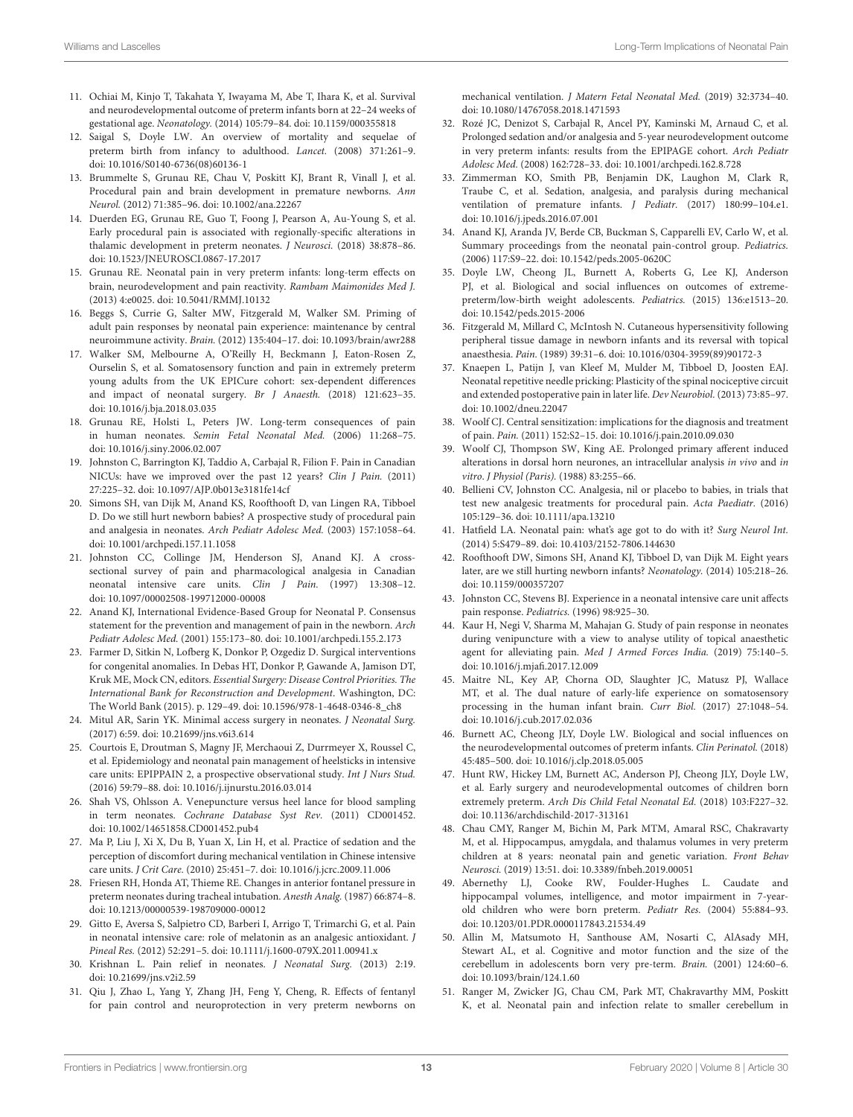- <span id="page-12-0"></span>11. Ochiai M, Kinjo T, Takahata Y, Iwayama M, Abe T, Ihara K, et al. Survival and neurodevelopmental outcome of preterm infants born at 22–24 weeks of gestational age. Neonatology. (2014) 105:79–84. doi: [10.1159/000355818](https://doi.org/10.1159/000355818)
- <span id="page-12-1"></span>12. Saigal S, Doyle LW. An overview of mortality and sequelae of preterm birth from infancy to adulthood. Lancet. (2008) 371:261–9. doi: [10.1016/S0140-6736\(08\)60136-1](https://doi.org/10.1016/S0140-6736(08)60136-1)
- <span id="page-12-2"></span>13. Brummelte S, Grunau RE, Chau V, Poskitt KJ, Brant R, Vinall J, et al. Procedural pain and brain development in premature newborns. Ann Neurol. (2012) 71:385–96. doi: [10.1002/ana.22267](https://doi.org/10.1002/ana.22267)
- <span id="page-12-37"></span>14. Duerden EG, Grunau RE, Guo T, Foong J, Pearson A, Au-Young S, et al. Early procedural pain is associated with regionally-specific alterations in thalamic development in preterm neonates. J Neurosci. (2018) 38:878–86. doi: [10.1523/JNEUROSCI.0867-17.2017](https://doi.org/10.1523/JNEUROSCI.0867-17.2017)
- <span id="page-12-3"></span>15. Grunau RE. Neonatal pain in very preterm infants: long-term effects on brain, neurodevelopment and pain reactivity. Rambam Maimonides Med J. (2013) 4:e0025. doi: [10.5041/RMMJ.10132](https://doi.org/10.5041/RMMJ.10132)
- <span id="page-12-4"></span>16. Beggs S, Currie G, Salter MW, Fitzgerald M, Walker SM. Priming of adult pain responses by neonatal pain experience: maintenance by central neuroimmune activity. Brain. (2012) 135:404–17. doi: [10.1093/brain/awr288](https://doi.org/10.1093/brain/awr288)
- <span id="page-12-5"></span>17. Walker SM, Melbourne A, O'Reilly H, Beckmann J, Eaton-Rosen Z, Ourselin S, et al. Somatosensory function and pain in extremely preterm young adults from the UK EPICure cohort: sex-dependent differences and impact of neonatal surgery. Br J Anaesth. (2018) 121:623–35. doi: [10.1016/j.bja.2018.03.035](https://doi.org/10.1016/j.bja.2018.03.035)
- <span id="page-12-6"></span>18. Grunau RE, Holsti L, Peters JW. Long-term consequences of pain in human neonates. Semin Fetal Neonatal Med. (2006) 11:268–75. doi: [10.1016/j.siny.2006.02.007](https://doi.org/10.1016/j.siny.2006.02.007)
- <span id="page-12-7"></span>19. Johnston C, Barrington KJ, Taddio A, Carbajal R, Filion F. Pain in Canadian NICUs: have we improved over the past 12 years? Clin J Pain. (2011) 27:225–32. doi: [10.1097/AJP.0b013e3181fe14cf](https://doi.org/10.1097/AJP.0b013e3181fe14cf)
- <span id="page-12-8"></span>20. Simons SH, van Dijk M, Anand KS, Roofthooft D, van Lingen RA, Tibboel D. Do we still hurt newborn babies? A prospective study of procedural pain and analgesia in neonates. Arch Pediatr Adolesc Med. (2003) 157:1058–64. doi: [10.1001/archpedi.157.11.1058](https://doi.org/10.1001/archpedi.157.11.1058)
- <span id="page-12-9"></span>21. Johnston CC, Collinge JM, Henderson SJ, Anand KJ. A crosssectional survey of pain and pharmacological analgesia in Canadian neonatal intensive care units. Clin J Pain. (1997) 13:308–12. doi: [10.1097/00002508-199712000-00008](https://doi.org/10.1097/00002508-199712000-00008)
- <span id="page-12-13"></span>22. Anand KJ, International Evidence-Based Group for Neonatal P. Consensus statement for the prevention and management of pain in the newborn. Arch Pediatr Adolesc Med. (2001) 155:173–80. doi: [10.1001/archpedi.155.2.173](https://doi.org/10.1001/archpedi.155.2.173)
- 23. Farmer D, Sitkin N, Lofberg K, Donkor P, Ozgediz D. Surgical interventions for congenital anomalies. In Debas HT, Donkor P, Gawande A, Jamison DT, Kruk ME, Mock CN, editors. Essential Surgery: Disease Control Priorities. The International Bank for Reconstruction and Development. Washington, DC: The World Bank (2015). p. 129–49. doi: [10.1596/978-1-4648-0346-8\\_ch8](https://doi.org/10.1596/978-1-4648-0346-8_ch8)
- <span id="page-12-10"></span>24. Mitul AR, Sarin YK. Minimal access surgery in neonates. J Neonatal Surg. (2017) 6:59. doi: [10.21699/jns.v6i3.614](https://doi.org/10.21699/jns.v6i3.614)
- <span id="page-12-11"></span>25. Courtois E, Droutman S, Magny JF, Merchaoui Z, Durrmeyer X, Roussel C, et al. Epidemiology and neonatal pain management of heelsticks in intensive care units: EPIPPAIN 2, a prospective observational study. Int J Nurs Stud. (2016) 59:79–88. doi: [10.1016/j.ijnurstu.2016.03.014](https://doi.org/10.1016/j.ijnurstu.2016.03.014)
- <span id="page-12-12"></span>26. Shah VS, Ohlsson A. Venepuncture versus heel lance for blood sampling in term neonates. Cochrane Database Syst Rev. (2011) CD001452. doi: [10.1002/14651858.CD001452.pub4](https://doi.org/10.1002/14651858.CD001452.pub4)
- <span id="page-12-14"></span>27. Ma P, Liu J, Xi X, Du B, Yuan X, Lin H, et al. Practice of sedation and the perception of discomfort during mechanical ventilation in Chinese intensive care units. J Crit Care. (2010) 25:451–7. doi: [10.1016/j.jcrc.2009.11.006](https://doi.org/10.1016/j.jcrc.2009.11.006)
- <span id="page-12-15"></span>28. Friesen RH, Honda AT, Thieme RE. Changes in anterior fontanel pressure in preterm neonates during tracheal intubation. Anesth Analg. (1987) 66:874–8. doi: [10.1213/00000539-198709000-00012](https://doi.org/10.1213/00000539-198709000-00012)
- <span id="page-12-16"></span>29. Gitto E, Aversa S, Salpietro CD, Barberi I, Arrigo T, Trimarchi G, et al. Pain in neonatal intensive care: role of melatonin as an analgesic antioxidant. J Pineal Res. (2012) 52:291–5. doi: [10.1111/j.1600-079X.2011.00941.x](https://doi.org/10.1111/j.1600-079X.2011.00941.x)
- <span id="page-12-17"></span>30. Krishnan L. Pain relief in neonates. J Neonatal Surg. (2013) 2:19. doi: [10.21699/jns.v2i2.59](https://doi.org/10.21699/jns.v2i2.59)
- <span id="page-12-18"></span>31. Qiu J, Zhao L, Yang Y, Zhang JH, Feng Y, Cheng, R. Effects of fentanyl for pain control and neuroprotection in very preterm newborns on

mechanical ventilation. J Matern Fetal Neonatal Med. (2019) 32:3734–40. doi: [10.1080/14767058.2018.1471593](https://doi.org/10.1080/14767058.2018.1471593)

- <span id="page-12-19"></span>32. Rozé JC, Denizot S, Carbajal R, Ancel PY, Kaminski M, Arnaud C, et al. Prolonged sedation and/or analgesia and 5-year neurodevelopment outcome in very preterm infants: results from the EPIPAGE cohort. Arch Pediatr Adolesc Med. (2008) 162:728–33. doi: [10.1001/archpedi.162.8.728](https://doi.org/10.1001/archpedi.162.8.728)
- <span id="page-12-20"></span>33. Zimmerman KO, Smith PB, Benjamin DK, Laughon M, Clark R, Traube C, et al. Sedation, analgesia, and paralysis during mechanical ventilation of premature infants. J Pediatr. (2017) 180:99–104.e1. doi: [10.1016/j.jpeds.2016.07.001](https://doi.org/10.1016/j.jpeds.2016.07.001)
- <span id="page-12-21"></span>34. Anand KJ, Aranda JV, Berde CB, Buckman S, Capparelli EV, Carlo W, et al. Summary proceedings from the neonatal pain-control group. Pediatrics. (2006) 117:S9–22. doi: [10.1542/peds.2005-0620C](https://doi.org/10.1542/peds.2005-0620C)
- <span id="page-12-22"></span>35. Doyle LW, Cheong JL, Burnett A, Roberts G, Lee KJ, Anderson PJ, et al. Biological and social influences on outcomes of extremepreterm/low-birth weight adolescents. Pediatrics. (2015) 136:e1513–20. doi: [10.1542/peds.2015-2006](https://doi.org/10.1542/peds.2015-2006)
- <span id="page-12-23"></span>36. Fitzgerald M, Millard C, McIntosh N. Cutaneous hypersensitivity following peripheral tissue damage in newborn infants and its reversal with topical anaesthesia. Pain. (1989) 39:31–6. doi: [10.1016/0304-3959\(89\)90172-3](https://doi.org/10.1016/0304-3959(89)90172-3)
- <span id="page-12-24"></span>37. Knaepen L, Patijn J, van Kleef M, Mulder M, Tibboel D, Joosten EAJ. Neonatal repetitive needle pricking: Plasticity of the spinal nociceptive circuit and extended postoperative pain in later life. Dev Neurobiol. (2013) 73:85–97. doi: [10.1002/dneu.22047](https://doi.org/10.1002/dneu.22047)
- <span id="page-12-25"></span>38. Woolf CJ. Central sensitization: implications for the diagnosis and treatment of pain. Pain. (2011) 152:S2–15. doi: [10.1016/j.pain.2010.09.030](https://doi.org/10.1016/j.pain.2010.09.030)
- <span id="page-12-26"></span>39. Woolf CJ, Thompson SW, King AE. Prolonged primary afferent induced alterations in dorsal horn neurones, an intracellular analysis in vivo and in vitro. J Physiol (Paris). (1988) 83:255–66.
- <span id="page-12-27"></span>40. Bellieni CV, Johnston CC. Analgesia, nil or placebo to babies, in trials that test new analgesic treatments for procedural pain. Acta Paediatr. (2016) 105:129–36. doi: [10.1111/apa.13210](https://doi.org/10.1111/apa.13210)
- <span id="page-12-36"></span>41. Hatfield LA. Neonatal pain: what's age got to do with it? Surg Neurol Int. (2014) 5:S479–89. doi: [10.4103/2152-7806.144630](https://doi.org/10.4103/2152-7806.144630)
- <span id="page-12-28"></span>42. Roofthooft DW, Simons SH, Anand KJ, Tibboel D, van Dijk M. Eight years later, are we still hurting newborn infants? Neonatology. (2014) 105:218–26. doi: [10.1159/000357207](https://doi.org/10.1159/000357207)
- <span id="page-12-29"></span>43. Johnston CC, Stevens BJ. Experience in a neonatal intensive care unit affects pain response. Pediatrics. (1996) 98:925–30.
- <span id="page-12-30"></span>44. Kaur H, Negi V, Sharma M, Mahajan G. Study of pain response in neonates during venipuncture with a view to analyse utility of topical anaesthetic agent for alleviating pain. Med J Armed Forces India. (2019) 75:140–5. doi: [10.1016/j.mjafi.2017.12.009](https://doi.org/10.1016/j.mjafi.2017.12.009)
- <span id="page-12-31"></span>45. Maitre NL, Key AP, Chorna OD, Slaughter JC, Matusz PJ, Wallace MT, et al. The dual nature of early-life experience on somatosensory processing in the human infant brain. Curr Biol. (2017) 27:1048–54. doi: [10.1016/j.cub.2017.02.036](https://doi.org/10.1016/j.cub.2017.02.036)
- <span id="page-12-32"></span>46. Burnett AC, Cheong JLY, Doyle LW. Biological and social influences on the neurodevelopmental outcomes of preterm infants. Clin Perinatol. (2018) 45:485–500. doi: [10.1016/j.clp.2018.05.005](https://doi.org/10.1016/j.clp.2018.05.005)
- <span id="page-12-33"></span>47. Hunt RW, Hickey LM, Burnett AC, Anderson PJ, Cheong JLY, Doyle LW, et al. Early surgery and neurodevelopmental outcomes of children born extremely preterm. Arch Dis Child Fetal Neonatal Ed. (2018) 103:F227–32. doi: [10.1136/archdischild-2017-313161](https://doi.org/10.1136/archdischild-2017-313161)
- <span id="page-12-34"></span>48. Chau CMY, Ranger M, Bichin M, Park MTM, Amaral RSC, Chakravarty M, et al. Hippocampus, amygdala, and thalamus volumes in very preterm children at 8 years: neonatal pain and genetic variation. Front Behav Neurosci. (2019) 13:51. doi: [10.3389/fnbeh.2019.00051](https://doi.org/10.3389/fnbeh.2019.00051)
- 49. Abernethy LJ, Cooke RW, Foulder-Hughes L. Caudate and hippocampal volumes, intelligence, and motor impairment in 7-yearold children who were born preterm. Pediatr Res. (2004) 55:884–93. doi: [10.1203/01.PDR.0000117843.21534.49](https://doi.org/10.1203/01.PDR.0000117843.21534.49)
- 50. Allin M, Matsumoto H, Santhouse AM, Nosarti C, AlAsady MH, Stewart AL, et al. Cognitive and motor function and the size of the cerebellum in adolescents born very pre-term. Brain. (2001) 124:60–6. doi: [10.1093/brain/124.1.60](https://doi.org/10.1093/brain/124.1.60)
- <span id="page-12-35"></span>51. Ranger M, Zwicker JG, Chau CM, Park MT, Chakravarthy MM, Poskitt K, et al. Neonatal pain and infection relate to smaller cerebellum in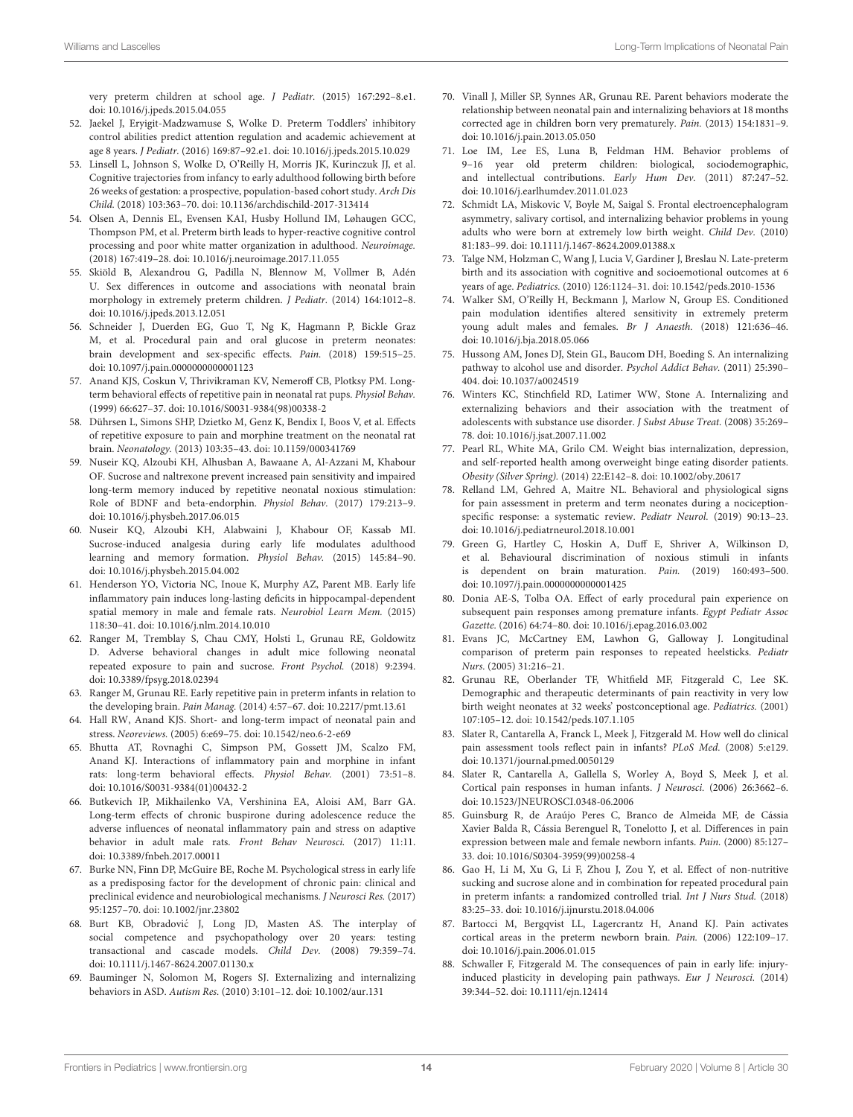very preterm children at school age. J Pediatr. (2015) 167:292–8.e1. doi: [10.1016/j.jpeds.2015.04.055](https://doi.org/10.1016/j.jpeds.2015.04.055)

- <span id="page-13-0"></span>52. Jaekel J, Eryigit-Madzwamuse S, Wolke D. Preterm Toddlers' inhibitory control abilities predict attention regulation and academic achievement at age 8 years. J Pediatr. (2016) 169:87–92.e1. doi: [10.1016/j.jpeds.2015.10.029](https://doi.org/10.1016/j.jpeds.2015.10.029)
- <span id="page-13-2"></span>53. Linsell L, Johnson S, Wolke D, O'Reilly H, Morris JK, Kurinczuk JJ, et al. Cognitive trajectories from infancy to early adulthood following birth before 26 weeks of gestation: a prospective, population-based cohort study. Arch Dis Child. (2018) 103:363–70. doi: [10.1136/archdischild-2017-313414](https://doi.org/10.1136/archdischild-2017-313414)
- <span id="page-13-1"></span>54. Olsen A, Dennis EL, Evensen KAI, Husby Hollund IM, Løhaugen GCC, Thompson PM, et al. Preterm birth leads to hyper-reactive cognitive control processing and poor white matter organization in adulthood. Neuroimage. (2018) 167:419–28. doi: [10.1016/j.neuroimage.2017.11.055](https://doi.org/10.1016/j.neuroimage.2017.11.055)
- <span id="page-13-3"></span>55. Skiöld B, Alexandrou G, Padilla N, Blennow M, Vollmer B, Adén U. Sex differences in outcome and associations with neonatal brain morphology in extremely preterm children. J Pediatr. (2014) 164:1012–8. doi: [10.1016/j.jpeds.2013.12.051](https://doi.org/10.1016/j.jpeds.2013.12.051)
- <span id="page-13-4"></span>56. Schneider J, Duerden EG, Guo T, Ng K, Hagmann P, Bickle Graz M, et al. Procedural pain and oral glucose in preterm neonates: brain development and sex-specific effects. Pain. (2018) 159:515–25. doi: [10.1097/j.pain.0000000000001123](https://doi.org/10.1097/j.pain.0000000000001123)
- <span id="page-13-5"></span>57. Anand KJS, Coskun V, Thrivikraman KV, Nemeroff CB, Plotksy PM. Longterm behavioral effects of repetitive pain in neonatal rat pups. Physiol Behav. (1999) 66:627–37. doi: [10.1016/S0031-9384\(98\)00338-2](https://doi.org/10.1016/S0031-9384(98)00338-2)
- <span id="page-13-6"></span>58. Dührsen L, Simons SHP, Dzietko M, Genz K, Bendix I, Boos V, et al. Effects of repetitive exposure to pain and morphine treatment on the neonatal rat brain. Neonatology. (2013) 103:35–43. doi: [10.1159/000341769](https://doi.org/10.1159/000341769)
- <span id="page-13-7"></span>59. Nuseir KQ, Alzoubi KH, Alhusban A, Bawaane A, Al-Azzani M, Khabour OF. Sucrose and naltrexone prevent increased pain sensitivity and impaired long-term memory induced by repetitive neonatal noxious stimulation: Role of BDNF and beta-endorphin. Physiol Behav. (2017) 179:213–9. doi: [10.1016/j.physbeh.2017.06.015](https://doi.org/10.1016/j.physbeh.2017.06.015)
- <span id="page-13-8"></span>60. Nuseir KQ, Alzoubi KH, Alabwaini J, Khabour OF, Kassab MI. Sucrose-induced analgesia during early life modulates adulthood learning and memory formation. Physiol Behav. (2015) 145:84–90. doi: [10.1016/j.physbeh.2015.04.002](https://doi.org/10.1016/j.physbeh.2015.04.002)
- <span id="page-13-9"></span>61. Henderson YO, Victoria NC, Inoue K, Murphy AZ, Parent MB. Early life inflammatory pain induces long-lasting deficits in hippocampal-dependent spatial memory in male and female rats. Neurobiol Learn Mem. (2015) 118:30–41. doi: [10.1016/j.nlm.2014.10.010](https://doi.org/10.1016/j.nlm.2014.10.010)
- <span id="page-13-10"></span>62. Ranger M, Tremblay S, Chau CMY, Holsti L, Grunau RE, Goldowitz D. Adverse behavioral changes in adult mice following neonatal repeated exposure to pain and sucrose. Front Psychol. (2018) 9:2394. doi: [10.3389/fpsyg.2018.02394](https://doi.org/10.3389/fpsyg.2018.02394)
- <span id="page-13-11"></span>63. Ranger M, Grunau RE. Early repetitive pain in preterm infants in relation to the developing brain. Pain Manag. (2014) 4:57–67. doi: [10.2217/pmt.13.61](https://doi.org/10.2217/pmt.13.61)
- <span id="page-13-12"></span>64. Hall RW, Anand KJS. Short- and long-term impact of neonatal pain and stress. Neoreviews. (2005) 6:e69–75. doi: [10.1542/neo.6-2-e69](https://doi.org/10.1542/neo.6-2-e69)
- <span id="page-13-13"></span>65. Bhutta AT, Rovnaghi C, Simpson PM, Gossett JM, Scalzo FM, Anand KJ. Interactions of inflammatory pain and morphine in infant rats: long-term behavioral effects. Physiol Behav. (2001) 73:51–8. doi: [10.1016/S0031-9384\(01\)00432-2](https://doi.org/10.1016/S0031-9384(01)00432-2)
- <span id="page-13-14"></span>66. Butkevich IP, Mikhailenko VA, Vershinina EA, Aloisi AM, Barr GA. Long-term effects of chronic buspirone during adolescence reduce the adverse influences of neonatal inflammatory pain and stress on adaptive behavior in adult male rats. Front Behav Neurosci. (2017) 11:11. doi: [10.3389/fnbeh.2017.00011](https://doi.org/10.3389/fnbeh.2017.00011)
- <span id="page-13-15"></span>67. Burke NN, Finn DP, McGuire BE, Roche M. Psychological stress in early life as a predisposing factor for the development of chronic pain: clinical and preclinical evidence and neurobiological mechanisms. J Neurosci Res. (2017) 95:1257–70. doi: [10.1002/jnr.23802](https://doi.org/10.1002/jnr.23802)
- <span id="page-13-16"></span>68. Burt KB, Obradovic J, Long JD, Masten AS. The interplay of ´ social competence and psychopathology over 20 years: testing transactional and cascade models. Child Dev. (2008) 79:359–74. doi: [10.1111/j.1467-8624.2007.01130.x](https://doi.org/10.1111/j.1467-8624.2007.01130.x)
- <span id="page-13-17"></span>69. Bauminger N, Solomon M, Rogers SJ. Externalizing and internalizing behaviors in ASD. Autism Res. (2010) 3:101–12. doi: [10.1002/aur.131](https://doi.org/10.1002/aur.131)
- <span id="page-13-18"></span>70. Vinall J, Miller SP, Synnes AR, Grunau RE. Parent behaviors moderate the relationship between neonatal pain and internalizing behaviors at 18 months corrected age in children born very prematurely. Pain. (2013) 154:1831–9. doi: [10.1016/j.pain.2013.05.050](https://doi.org/10.1016/j.pain.2013.05.050)
- <span id="page-13-19"></span>71. Loe IM, Lee ES, Luna B, Feldman HM. Behavior problems of 9–16 year old preterm children: biological, sociodemographic, and intellectual contributions. Early Hum Dev. (2011) 87:247–52. doi: [10.1016/j.earlhumdev.2011.01.023](https://doi.org/10.1016/j.earlhumdev.2011.01.023)
- <span id="page-13-20"></span>72. Schmidt LA, Miskovic V, Boyle M, Saigal S. Frontal electroencephalogram asymmetry, salivary cortisol, and internalizing behavior problems in young adults who were born at extremely low birth weight. Child Dev. (2010) 81:183–99. doi: [10.1111/j.1467-8624.2009.01388.x](https://doi.org/10.1111/j.1467-8624.2009.01388.x)
- <span id="page-13-21"></span>73. Talge NM, Holzman C, Wang J, Lucia V, Gardiner J, Breslau N. Late-preterm birth and its association with cognitive and socioemotional outcomes at 6 years of age. Pediatrics. (2010) 126:1124–31. doi: [10.1542/peds.2010-1536](https://doi.org/10.1542/peds.2010-1536)
- <span id="page-13-22"></span>74. Walker SM, O'Reilly H, Beckmann J, Marlow N, Group ES. Conditioned pain modulation identifies altered sensitivity in extremely preterm young adult males and females. Br J Anaesth. (2018) 121:636–46. doi: [10.1016/j.bja.2018.05.066](https://doi.org/10.1016/j.bja.2018.05.066)
- <span id="page-13-23"></span>75. Hussong AM, Jones DJ, Stein GL, Baucom DH, Boeding S. An internalizing pathway to alcohol use and disorder. Psychol Addict Behav. (2011) 25:390– 404. doi: [10.1037/a0024519](https://doi.org/10.1037/a0024519)
- <span id="page-13-24"></span>76. Winters KC, Stinchfield RD, Latimer WW, Stone A. Internalizing and externalizing behaviors and their association with the treatment of adolescents with substance use disorder. J Subst Abuse Treat. (2008) 35:269– 78. doi: [10.1016/j.jsat.2007.11.002](https://doi.org/10.1016/j.jsat.2007.11.002)
- <span id="page-13-25"></span>77. Pearl RL, White MA, Grilo CM. Weight bias internalization, depression, and self-reported health among overweight binge eating disorder patients. Obesity (Silver Spring). (2014) 22:E142–8. doi: [10.1002/oby.20617](https://doi.org/10.1002/oby.20617)
- <span id="page-13-26"></span>78. Relland LM, Gehred A, Maitre NL. Behavioral and physiological signs for pain assessment in preterm and term neonates during a nociceptionspecific response: a systematic review. Pediatr Neurol. (2019) 90:13–23. doi: [10.1016/j.pediatrneurol.2018.10.001](https://doi.org/10.1016/j.pediatrneurol.2018.10.001)
- <span id="page-13-27"></span>79. Green G, Hartley C, Hoskin A, Duff E, Shriver A, Wilkinson D, et al. Behavioural discrimination of noxious stimuli in infants is dependent on brain maturation. Pain. (2019) 160:493–500. doi: [10.1097/j.pain.0000000000001425](https://doi.org/10.1097/j.pain.0000000000001425)
- <span id="page-13-28"></span>80. Donia AE-S, Tolba OA. Effect of early procedural pain experience on subsequent pain responses among premature infants. Egypt Pediatr Assoc Gazette. (2016) 64:74–80. doi: [10.1016/j.epag.2016.03.002](https://doi.org/10.1016/j.epag.2016.03.002)
- 81. Evans JC, McCartney EM, Lawhon G, Galloway J. Longitudinal comparison of preterm pain responses to repeated heelsticks. Pediatr Nurs. (2005) 31:216–21.
- <span id="page-13-29"></span>82. Grunau RE, Oberlander TF, Whitfield MF, Fitzgerald C, Lee SK. Demographic and therapeutic determinants of pain reactivity in very low birth weight neonates at 32 weeks' postconceptional age. Pediatrics. (2001) 107:105–12. doi: [10.1542/peds.107.1.105](https://doi.org/10.1542/peds.107.1.105)
- <span id="page-13-30"></span>83. Slater R, Cantarella A, Franck L, Meek J, Fitzgerald M. How well do clinical pain assessment tools reflect pain in infants? PLoS Med. (2008) 5:e129. doi: [10.1371/journal.pmed.0050129](https://doi.org/10.1371/journal.pmed.0050129)
- <span id="page-13-31"></span>84. Slater R, Cantarella A, Gallella S, Worley A, Boyd S, Meek J, et al. Cortical pain responses in human infants. J Neurosci. (2006) 26:3662–6. doi: [10.1523/JNEUROSCI.0348-06.2006](https://doi.org/10.1523/JNEUROSCI.0348-06.2006)
- <span id="page-13-32"></span>85. Guinsburg R, de Araújo Peres C, Branco de Almeida MF, de Cássia Xavier Balda R, Cássia Berenguel R, Tonelotto J, et al. Differences in pain expression between male and female newborn infants. Pain. (2000) 85:127– 33. doi: [10.1016/S0304-3959\(99\)00258-4](https://doi.org/10.1016/S0304-3959(99)00258-4)
- <span id="page-13-33"></span>86. Gao H, Li M, Xu G, Li F, Zhou J, Zou Y, et al. Effect of non-nutritive sucking and sucrose alone and in combination for repeated procedural pain in preterm infants: a randomized controlled trial. Int J Nurs Stud. (2018) 83:25–33. doi: [10.1016/j.ijnurstu.2018.04.006](https://doi.org/10.1016/j.ijnurstu.2018.04.006)
- <span id="page-13-34"></span>87. Bartocci M, Bergqvist LL, Lagercrantz H, Anand KJ. Pain activates cortical areas in the preterm newborn brain. Pain. (2006) 122:109–17. doi: [10.1016/j.pain.2006.01.015](https://doi.org/10.1016/j.pain.2006.01.015)
- <span id="page-13-35"></span>88. Schwaller F, Fitzgerald M. The consequences of pain in early life: injuryinduced plasticity in developing pain pathways. Eur J Neurosci. (2014) 39:344–52. doi: [10.1111/ejn.12414](https://doi.org/10.1111/ejn.12414)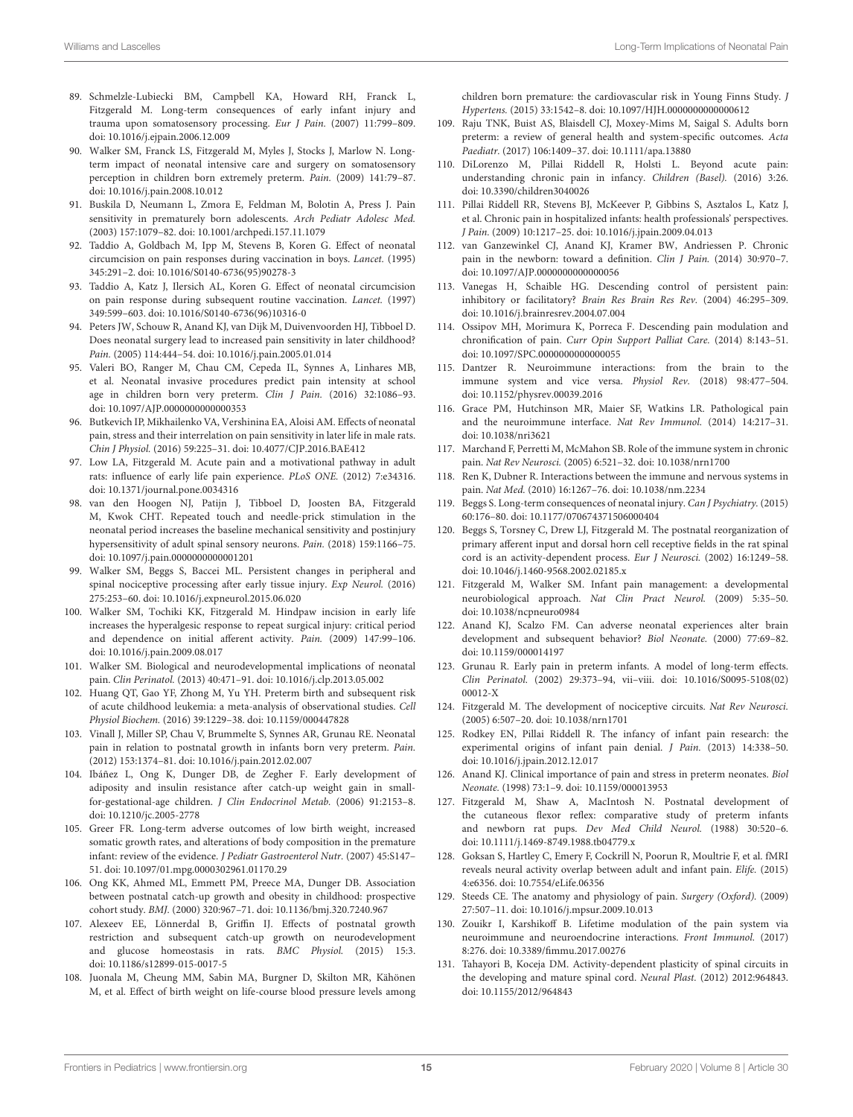- <span id="page-14-0"></span>89. Schmelzle-Lubiecki BM, Campbell KA, Howard RH, Franck L, Fitzgerald M. Long-term consequences of early infant injury and trauma upon somatosensory processing. Eur J Pain. (2007) 11:799–809. doi: [10.1016/j.ejpain.2006.12.009](https://doi.org/10.1016/j.ejpain.2006.12.009)
- <span id="page-14-1"></span>90. Walker SM, Franck LS, Fitzgerald M, Myles J, Stocks J, Marlow N. Longterm impact of neonatal intensive care and surgery on somatosensory perception in children born extremely preterm. Pain. (2009) 141:79–87. doi: [10.1016/j.pain.2008.10.012](https://doi.org/10.1016/j.pain.2008.10.012)
- <span id="page-14-2"></span>91. Buskila D, Neumann L, Zmora E, Feldman M, Bolotin A, Press J. Pain sensitivity in prematurely born adolescents. Arch Pediatr Adolesc Med. (2003) 157:1079–82. doi: [10.1001/archpedi.157.11.1079](https://doi.org/10.1001/archpedi.157.11.1079)
- <span id="page-14-3"></span>92. Taddio A, Goldbach M, Ipp M, Stevens B, Koren G. Effect of neonatal circumcision on pain responses during vaccination in boys. Lancet. (1995) 345:291–2. doi: [10.1016/S0140-6736\(95\)90278-3](https://doi.org/10.1016/S0140-6736(95)90278-3)
- <span id="page-14-4"></span>93. Taddio A, Katz J, Ilersich AL, Koren G. Effect of neonatal circumcision on pain response during subsequent routine vaccination. Lancet. (1997) 349:599–603. doi: [10.1016/S0140-6736\(96\)10316-0](https://doi.org/10.1016/S0140-6736(96)10316-0)
- <span id="page-14-5"></span>94. Peters JW, Schouw R, Anand KJ, van Dijk M, Duivenvoorden HJ, Tibboel D. Does neonatal surgery lead to increased pain sensitivity in later childhood? Pain. (2005) 114:444–54. doi: [10.1016/j.pain.2005.01.014](https://doi.org/10.1016/j.pain.2005.01.014)
- <span id="page-14-6"></span>95. Valeri BO, Ranger M, Chau CM, Cepeda IL, Synnes A, Linhares MB, et al. Neonatal invasive procedures predict pain intensity at school age in children born very preterm. Clin J Pain. (2016) 32:1086–93. doi: [10.1097/AJP.0000000000000353](https://doi.org/10.1097/AJP.0000000000000353)
- <span id="page-14-7"></span>96. Butkevich IP, Mikhailenko VA, Vershinina EA, Aloisi AM. Effects of neonatal pain, stress and their interrelation on pain sensitivity in later life in male rats. Chin J Physiol. (2016) 59:225–31. doi: [10.4077/CJP.2016.BAE412](https://doi.org/10.4077/CJP.2016.BAE412)
- <span id="page-14-8"></span>97. Low LA, Fitzgerald M. Acute pain and a motivational pathway in adult rats: influence of early life pain experience. PLoS ONE. (2012) 7:e34316. doi: [10.1371/journal.pone.0034316](https://doi.org/10.1371/journal.pone.0034316)
- <span id="page-14-38"></span>98. van den Hoogen NJ, Patijn J, Tibboel D, Joosten BA, Fitzgerald M, Kwok CHT. Repeated touch and needle-prick stimulation in the neonatal period increases the baseline mechanical sensitivity and postinjury hypersensitivity of adult spinal sensory neurons. Pain. (2018) 159:1166–75. doi: [10.1097/j.pain.0000000000001201](https://doi.org/10.1097/j.pain.0000000000001201)
- 99. Walker SM, Beggs S, Baccei ML. Persistent changes in peripheral and spinal nociceptive processing after early tissue injury. Exp Neurol. (2016) 275:253–60. doi: [10.1016/j.expneurol.2015.06.020](https://doi.org/10.1016/j.expneurol.2015.06.020)
- <span id="page-14-9"></span>100. Walker SM, Tochiki KK, Fitzgerald M. Hindpaw incision in early life increases the hyperalgesic response to repeat surgical injury: critical period and dependence on initial afferent activity. Pain. (2009) 147:99–106. doi: [10.1016/j.pain.2009.08.017](https://doi.org/10.1016/j.pain.2009.08.017)
- <span id="page-14-10"></span>101. Walker SM. Biological and neurodevelopmental implications of neonatal pain. Clin Perinatol. (2013) 40:471–91. doi: [10.1016/j.clp.2013.05.002](https://doi.org/10.1016/j.clp.2013.05.002)
- <span id="page-14-11"></span>102. Huang QT, Gao YF, Zhong M, Yu YH. Preterm birth and subsequent risk of acute childhood leukemia: a meta-analysis of observational studies. Cell Physiol Biochem. (2016) 39:1229–38. doi: [10.1159/000447828](https://doi.org/10.1159/000447828)
- <span id="page-14-12"></span>103. Vinall J, Miller SP, Chau V, Brummelte S, Synnes AR, Grunau RE. Neonatal pain in relation to postnatal growth in infants born very preterm. Pain. (2012) 153:1374–81. doi: [10.1016/j.pain.2012.02.007](https://doi.org/10.1016/j.pain.2012.02.007)
- <span id="page-14-13"></span>104. Ibáñez L, Ong K, Dunger DB, de Zegher F. Early development of adiposity and insulin resistance after catch-up weight gain in smallfor-gestational-age children. J Clin Endocrinol Metab. (2006) 91:2153–8. doi: [10.1210/jc.2005-2778](https://doi.org/10.1210/jc.2005-2778)
- <span id="page-14-14"></span>105. Greer FR. Long-term adverse outcomes of low birth weight, increased somatic growth rates, and alterations of body composition in the premature infant: review of the evidence. J Pediatr Gastroenterol Nutr. (2007) 45:S147– 51. doi: [10.1097/01.mpg.0000302961.01170.29](https://doi.org/10.1097/01.mpg.0000302961.01170.29)
- <span id="page-14-15"></span>106. Ong KK, Ahmed ML, Emmett PM, Preece MA, Dunger DB. Association between postnatal catch-up growth and obesity in childhood: prospective cohort study. BMJ. (2000) 320:967–71. doi: [10.1136/bmj.320.7240.967](https://doi.org/10.1136/bmj.320.7240.967)
- <span id="page-14-16"></span>107. Alexeev EE, Lönnerdal B, Griffin IJ. Effects of postnatal growth restriction and subsequent catch-up growth on neurodevelopment and glucose homeostasis in rats. BMC Physiol. (2015) 15:3. doi: [10.1186/s12899-015-0017-5](https://doi.org/10.1186/s12899-015-0017-5)
- <span id="page-14-17"></span>108. Juonala M, Cheung MM, Sabin MA, Burgner D, Skilton MR, Kähönen M, et al. Effect of birth weight on life-course blood pressure levels among

children born premature: the cardiovascular risk in Young Finns Study. J Hypertens. (2015) 33:1542–8. doi: [10.1097/HJH.0000000000000612](https://doi.org/10.1097/HJH.0000000000000612)

- <span id="page-14-18"></span>109. Raju TNK, Buist AS, Blaisdell CJ, Moxey-Mims M, Saigal S. Adults born preterm: a review of general health and system-specific outcomes. Acta Paediatr. (2017) 106:1409–37. doi: [10.1111/apa.13880](https://doi.org/10.1111/apa.13880)
- <span id="page-14-19"></span>110. DiLorenzo M, Pillai Riddell R, Holsti L. Beyond acute pain: understanding chronic pain in infancy. Children (Basel). (2016) 3:26. doi: [10.3390/children3040026](https://doi.org/10.3390/children3040026)
- 111. Pillai Riddell RR, Stevens BJ, McKeever P, Gibbins S, Asztalos L, Katz J, et al. Chronic pain in hospitalized infants: health professionals' perspectives. J Pain. (2009) 10:1217–25. doi: [10.1016/j.jpain.2009.04.013](https://doi.org/10.1016/j.jpain.2009.04.013)
- <span id="page-14-20"></span>112. van Ganzewinkel CJ, Anand KJ, Kramer BW, Andriessen P. Chronic pain in the newborn: toward a definition. Clin J Pain. (2014) 30:970-7. doi: [10.1097/AJP.0000000000000056](https://doi.org/10.1097/AJP.0000000000000056)
- <span id="page-14-21"></span>113. Vanegas H, Schaible HG. Descending control of persistent pain: inhibitory or facilitatory? Brain Res Brain Res Rev. (2004) 46:295–309. doi: [10.1016/j.brainresrev.2004.07.004](https://doi.org/10.1016/j.brainresrev.2004.07.004)
- <span id="page-14-22"></span>114. Ossipov MH, Morimura K, Porreca F. Descending pain modulation and chronification of pain. Curr Opin Support Palliat Care. (2014) 8:143–51. doi: [10.1097/SPC.0000000000000055](https://doi.org/10.1097/SPC.0000000000000055)
- <span id="page-14-23"></span>115. Dantzer R. Neuroimmune interactions: from the brain to the immune system and vice versa. Physiol Rev. (2018) 98:477–504. doi: [10.1152/physrev.00039.2016](https://doi.org/10.1152/physrev.00039.2016)
- <span id="page-14-24"></span>116. Grace PM, Hutchinson MR, Maier SF, Watkins LR. Pathological pain and the neuroimmune interface. Nat Rev Immunol. (2014) 14:217–31. doi: [10.1038/nri3621](https://doi.org/10.1038/nri3621)
- 117. Marchand F, Perretti M, McMahon SB. Role of the immune system in chronic pain. Nat Rev Neurosci. (2005) 6:521–32. doi: [10.1038/nrn1700](https://doi.org/10.1038/nrn1700)
- <span id="page-14-25"></span>118. Ren K, Dubner R. Interactions between the immune and nervous systems in pain. Nat Med. (2010) 16:1267–76. doi: [10.1038/nm.2234](https://doi.org/10.1038/nm.2234)
- <span id="page-14-26"></span>119. Beggs S. Long-term consequences of neonatal injury. Can J Psychiatry. (2015) 60:176–80. doi: [10.1177/070674371506000404](https://doi.org/10.1177/070674371506000404)
- <span id="page-14-37"></span>120. Beggs S, Torsney C, Drew LJ, Fitzgerald M. The postnatal reorganization of primary afferent input and dorsal horn cell receptive fields in the rat spinal cord is an activity-dependent process. Eur J Neurosci. (2002) 16:1249–58. doi: [10.1046/j.1460-9568.2002.02185.x](https://doi.org/10.1046/j.1460-9568.2002.02185.x)
- <span id="page-14-27"></span>121. Fitzgerald M, Walker SM. Infant pain management: a developmental neurobiological approach. Nat Clin Pract Neurol. (2009) 5:35–50. doi: [10.1038/ncpneuro0984](https://doi.org/10.1038/ncpneuro0984)
- <span id="page-14-28"></span>122. Anand KJ, Scalzo FM. Can adverse neonatal experiences alter brain development and subsequent behavior? Biol Neonate. (2000) 77:69–82. doi: [10.1159/000014197](https://doi.org/10.1159/000014197)
- <span id="page-14-29"></span>123. Grunau R. Early pain in preterm infants. A model of long-term effects. Clin Perinatol. [\(2002\) 29:373–94, vii–viii. doi: 10.1016/S0095-5108\(02\)](https://doi.org/10.1016/S0095-5108(02)00012-X) 00012-X
- <span id="page-14-30"></span>124. Fitzgerald M. The development of nociceptive circuits. Nat Rev Neurosci. (2005) 6:507–20. doi: [10.1038/nrn1701](https://doi.org/10.1038/nrn1701)
- <span id="page-14-31"></span>125. Rodkey EN, Pillai Riddell R. The infancy of infant pain research: the experimental origins of infant pain denial. J Pain. (2013) 14:338–50. doi: [10.1016/j.jpain.2012.12.017](https://doi.org/10.1016/j.jpain.2012.12.017)
- <span id="page-14-32"></span>126. Anand KJ. Clinical importance of pain and stress in preterm neonates. Biol Neonate. (1998) 73:1–9. doi: [10.1159/000013953](https://doi.org/10.1159/000013953)
- 127. Fitzgerald M, Shaw A, MacIntosh N. Postnatal development of the cutaneous flexor reflex: comparative study of preterm infants and newborn rat pups. Dev Med Child Neurol. (1988) 30:520–6. doi: [10.1111/j.1469-8749.1988.tb04779.x](https://doi.org/10.1111/j.1469-8749.1988.tb04779.x)
- <span id="page-14-33"></span>128. Goksan S, Hartley C, Emery F, Cockrill N, Poorun R, Moultrie F, et al. fMRI reveals neural activity overlap between adult and infant pain. Elife. (2015) 4:e6356. doi: [10.7554/eLife.06356](https://doi.org/10.7554/eLife.06356)
- <span id="page-14-34"></span>129. Steeds CE. The anatomy and physiology of pain. Surgery (Oxford). (2009) 27:507–11. doi: [10.1016/j.mpsur.2009.10.013](https://doi.org/10.1016/j.mpsur.2009.10.013)
- <span id="page-14-35"></span>130. Zouikr I, Karshikoff B. Lifetime modulation of the pain system via neuroimmune and neuroendocrine interactions. Front Immunol. (2017) 8:276. doi: [10.3389/fimmu.2017.00276](https://doi.org/10.3389/fimmu.2017.00276)
- <span id="page-14-36"></span>131. Tahayori B, Koceja DM. Activity-dependent plasticity of spinal circuits in the developing and mature spinal cord. Neural Plast. (2012) 2012:964843. doi: [10.1155/2012/964843](https://doi.org/10.1155/2012/964843)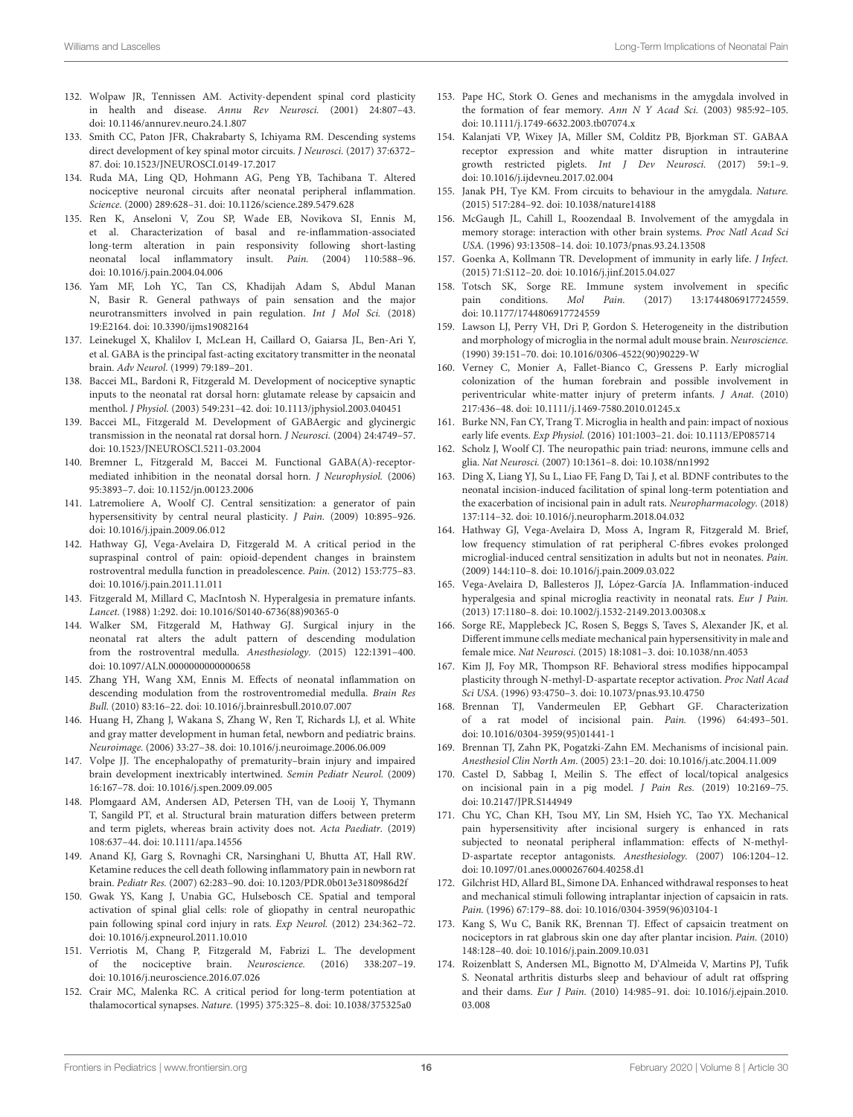- <span id="page-15-0"></span>132. Wolpaw JR, Tennissen AM. Activity-dependent spinal cord plasticity in health and disease. Annu Rev Neurosci. (2001) 24:807–43. doi: [10.1146/annurev.neuro.24.1.807](https://doi.org/10.1146/annurev.neuro.24.1.807)
- <span id="page-15-1"></span>133. Smith CC, Paton JFR, Chakrabarty S, Ichiyama RM. Descending systems direct development of key spinal motor circuits. J Neurosci. (2017) 37:6372– 87. doi: [10.1523/JNEUROSCI.0149-17.2017](https://doi.org/10.1523/JNEUROSCI.0149-17.2017)
- <span id="page-15-2"></span>134. Ruda MA, Ling QD, Hohmann AG, Peng YB, Tachibana T. Altered nociceptive neuronal circuits after neonatal peripheral inflammation. Science. (2000) 289:628–31. doi: [10.1126/science.289.5479.628](https://doi.org/10.1126/science.289.5479.628)
- <span id="page-15-3"></span>135. Ren K, Anseloni V, Zou SP, Wade EB, Novikova SI, Ennis M, et al. Characterization of basal and re-inflammation-associated long-term alteration in pain responsivity following short-lasting neonatal local inflammatory insult. Pain. (2004) 110:588–96. doi: [10.1016/j.pain.2004.04.006](https://doi.org/10.1016/j.pain.2004.04.006)
- <span id="page-15-4"></span>136. Yam MF, Loh YC, Tan CS, Khadijah Adam S, Abdul Manan N, Basir R. General pathways of pain sensation and the major neurotransmitters involved in pain regulation. Int J Mol Sci. (2018) 19:E2164. doi: [10.3390/ijms19082164](https://doi.org/10.3390/ijms19082164)
- <span id="page-15-5"></span>137. Leinekugel X, Khalilov I, McLean H, Caillard O, Gaiarsa JL, Ben-Ari Y, et al. GABA is the principal fast-acting excitatory transmitter in the neonatal brain. Adv Neurol. (1999) 79:189–201.
- <span id="page-15-6"></span>138. Baccei ML, Bardoni R, Fitzgerald M. Development of nociceptive synaptic inputs to the neonatal rat dorsal horn: glutamate release by capsaicin and menthol. J Physiol. (2003) 549:231–42. doi: [10.1113/jphysiol.2003.040451](https://doi.org/10.1113/jphysiol.2003.040451)
- <span id="page-15-7"></span>139. Baccei ML, Fitzgerald M. Development of GABAergic and glycinergic transmission in the neonatal rat dorsal horn. J Neurosci. (2004) 24:4749–57. doi: [10.1523/JNEUROSCI.5211-03.2004](https://doi.org/10.1523/JNEUROSCI.5211-03.2004)
- <span id="page-15-8"></span>140. Bremner L, Fitzgerald M, Baccei M. Functional GABA(A)-receptormediated inhibition in the neonatal dorsal horn. J Neurophysiol. (2006) 95:3893–7. doi: [10.1152/jn.00123.2006](https://doi.org/10.1152/jn.00123.2006)
- <span id="page-15-9"></span>141. Latremoliere A, Woolf CJ. Central sensitization: a generator of pain hypersensitivity by central neural plasticity. J Pain. (2009) 10:895–926. doi: [10.1016/j.jpain.2009.06.012](https://doi.org/10.1016/j.jpain.2009.06.012)
- <span id="page-15-10"></span>142. Hathway GJ, Vega-Avelaira D, Fitzgerald M. A critical period in the supraspinal control of pain: opioid-dependent changes in brainstem rostroventral medulla function in preadolescence. Pain. (2012) 153:775–83. doi: [10.1016/j.pain.2011.11.011](https://doi.org/10.1016/j.pain.2011.11.011)
- <span id="page-15-11"></span>143. Fitzgerald M, Millard C, MacIntosh N. Hyperalgesia in premature infants. Lancet. (1988) 1:292. doi: [10.1016/S0140-6736\(88\)90365-0](https://doi.org/10.1016/S0140-6736(88)90365-0)
- <span id="page-15-12"></span>144. Walker SM, Fitzgerald M, Hathway GJ. Surgical injury in the neonatal rat alters the adult pattern of descending modulation from the rostroventral medulla. Anesthesiology. (2015) 122:1391–400. doi: [10.1097/ALN.0000000000000658](https://doi.org/10.1097/ALN.0000000000000658)
- <span id="page-15-13"></span>145. Zhang YH, Wang XM, Ennis M. Effects of neonatal inflammation on descending modulation from the rostroventromedial medulla. Brain Res Bull. (2010) 83:16–22. doi: [10.1016/j.brainresbull.2010.07.007](https://doi.org/10.1016/j.brainresbull.2010.07.007)
- <span id="page-15-14"></span>146. Huang H, Zhang J, Wakana S, Zhang W, Ren T, Richards LJ, et al. White and gray matter development in human fetal, newborn and pediatric brains. Neuroimage. (2006) 33:27–38. doi: [10.1016/j.neuroimage.2006.06.009](https://doi.org/10.1016/j.neuroimage.2006.06.009)
- <span id="page-15-15"></span>147. Volpe JJ. The encephalopathy of prematurity–brain injury and impaired brain development inextricably intertwined. Semin Pediatr Neurol. (2009) 16:167–78. doi: [10.1016/j.spen.2009.09.005](https://doi.org/10.1016/j.spen.2009.09.005)
- <span id="page-15-16"></span>148. Plomgaard AM, Andersen AD, Petersen TH, van de Looij Y, Thymann T, Sangild PT, et al. Structural brain maturation differs between preterm and term piglets, whereas brain activity does not. Acta Paediatr. (2019) 108:637–44. doi: [10.1111/apa.14556](https://doi.org/10.1111/apa.14556)
- <span id="page-15-17"></span>149. Anand KJ, Garg S, Rovnaghi CR, Narsinghani U, Bhutta AT, Hall RW. Ketamine reduces the cell death following inflammatory pain in newborn rat brain. Pediatr Res. (2007) 62:283–90. doi: [10.1203/PDR.0b013e3180986d2f](https://doi.org/10.1203/PDR.0b013e3180986d2f)
- <span id="page-15-18"></span>150. Gwak YS, Kang J, Unabia GC, Hulsebosch CE. Spatial and temporal activation of spinal glial cells: role of gliopathy in central neuropathic pain following spinal cord injury in rats. Exp Neurol. (2012) 234:362–72. doi: [10.1016/j.expneurol.2011.10.010](https://doi.org/10.1016/j.expneurol.2011.10.010)
- <span id="page-15-19"></span>151. Verriotis M, Chang P, Fitzgerald M, Fabrizi L. The development of the nociceptive brain. Neuroscience. (2016) 338:207–19. doi: [10.1016/j.neuroscience.2016.07.026](https://doi.org/10.1016/j.neuroscience.2016.07.026)
- <span id="page-15-20"></span>152. Crair MC, Malenka RC. A critical period for long-term potentiation at thalamocortical synapses. Nature. (1995) 375:325–8. doi: [10.1038/375325a0](https://doi.org/10.1038/375325a0)
- <span id="page-15-21"></span>153. Pape HC, Stork O. Genes and mechanisms in the amygdala involved in the formation of fear memory. Ann N Y Acad Sci. (2003) 985:92–105. doi: [10.1111/j.1749-6632.2003.tb07074.x](https://doi.org/10.1111/j.1749-6632.2003.tb07074.x)
- <span id="page-15-22"></span>154. Kalanjati VP, Wixey JA, Miller SM, Colditz PB, Bjorkman ST. GABAA receptor expression and white matter disruption in intrauterine growth restricted piglets. Int J Dev Neurosci. (2017) 59:1–9. doi: [10.1016/j.ijdevneu.2017.02.004](https://doi.org/10.1016/j.ijdevneu.2017.02.004)
- <span id="page-15-23"></span>155. Janak PH, Tye KM. From circuits to behaviour in the amygdala. Nature. (2015) 517:284–92. doi: [10.1038/nature14188](https://doi.org/10.1038/nature14188)
- <span id="page-15-24"></span>156. McGaugh JL, Cahill L, Roozendaal B. Involvement of the amygdala in memory storage: interaction with other brain systems. Proc Natl Acad Sci USA. (1996) 93:13508–14. doi: [10.1073/pnas.93.24.13508](https://doi.org/10.1073/pnas.93.24.13508)
- <span id="page-15-25"></span>157. Goenka A, Kollmann TR. Development of immunity in early life. J Infect. (2015) 71:S112–20. doi: [10.1016/j.jinf.2015.04.027](https://doi.org/10.1016/j.jinf.2015.04.027)
- <span id="page-15-26"></span>158. Totsch SK, Sorge RE. Immune system involvement in specific pain conditions. Mol Pain. (2017) 13:1744806917724559. doi: [10.1177/1744806917724559](https://doi.org/10.1177/1744806917724559)
- <span id="page-15-27"></span>159. Lawson LJ, Perry VH, Dri P, Gordon S. Heterogeneity in the distribution and morphology of microglia in the normal adult mouse brain. Neuroscience. (1990) 39:151–70. doi: [10.1016/0306-4522\(90\)90229-W](https://doi.org/10.1016/0306-4522(90)90229-W)
- <span id="page-15-28"></span>160. Verney C, Monier A, Fallet-Bianco C, Gressens P. Early microglial colonization of the human forebrain and possible involvement in periventricular white-matter injury of preterm infants. J Anat. (2010) 217:436–48. doi: [10.1111/j.1469-7580.2010.01245.x](https://doi.org/10.1111/j.1469-7580.2010.01245.x)
- <span id="page-15-29"></span>161. Burke NN, Fan CY, Trang T. Microglia in health and pain: impact of noxious early life events. Exp Physiol. (2016) 101:1003–21. doi: [10.1113/EP085714](https://doi.org/10.1113/EP085714)
- <span id="page-15-30"></span>162. Scholz J, Woolf CJ. The neuropathic pain triad: neurons, immune cells and glia. Nat Neurosci. (2007) 10:1361–8. doi: [10.1038/nn1992](https://doi.org/10.1038/nn1992)
- <span id="page-15-31"></span>163. Ding X, Liang YJ, Su L, Liao FF, Fang D, Tai J, et al. BDNF contributes to the neonatal incision-induced facilitation of spinal long-term potentiation and the exacerbation of incisional pain in adult rats. Neuropharmacology. (2018) 137:114–32. doi: [10.1016/j.neuropharm.2018.04.032](https://doi.org/10.1016/j.neuropharm.2018.04.032)
- <span id="page-15-39"></span>164. Hathway GJ, Vega-Avelaira D, Moss A, Ingram R, Fitzgerald M. Brief, low frequency stimulation of rat peripheral C-fibres evokes prolonged microglial-induced central sensitization in adults but not in neonates. Pain. (2009) 144:110–8. doi: [10.1016/j.pain.2009.03.022](https://doi.org/10.1016/j.pain.2009.03.022)
- <span id="page-15-32"></span>165. Vega-Avelaira D, Ballesteros JJ, López-García JA. Inflammation-induced hyperalgesia and spinal microglia reactivity in neonatal rats. Eur J Pain. (2013) 17:1180–8. doi: [10.1002/j.1532-2149.2013.00308.x](https://doi.org/10.1002/j.1532-2149.2013.00308.x)
- <span id="page-15-33"></span>166. Sorge RE, Mapplebeck JC, Rosen S, Beggs S, Taves S, Alexander JK, et al. Different immune cells mediate mechanical pain hypersensitivity in male and female mice. Nat Neurosci. (2015) 18:1081–3. doi: [10.1038/nn.4053](https://doi.org/10.1038/nn.4053)
- <span id="page-15-34"></span>167. Kim JJ, Foy MR, Thompson RF. Behavioral stress modifies hippocampal plasticity through N-methyl-D-aspartate receptor activation. Proc Natl Acad Sci USA. (1996) 93:4750–3. doi: [10.1073/pnas.93.10.4750](https://doi.org/10.1073/pnas.93.10.4750)
- <span id="page-15-35"></span>168. Brennan TJ, Vandermeulen EP, Gebhart GF. Characterization of a rat model of incisional pain. Pain. (1996) 64:493–501. doi: [10.1016/0304-3959\(95\)01441-1](https://doi.org/10.1016/0304-3959(95)01441-1)
- 169. Brennan TJ, Zahn PK, Pogatzki-Zahn EM. Mechanisms of incisional pain. Anesthesiol Clin North Am. (2005) 23:1–20. doi: [10.1016/j.atc.2004.11.009](https://doi.org/10.1016/j.atc.2004.11.009)
- 170. Castel D, Sabbag I, Meilin S. The effect of local/topical analgesics on incisional pain in a pig model. J Pain Res. (2019) 10:2169–75. doi: [10.2147/JPR.S144949](https://doi.org/10.2147/JPR.S144949)
- <span id="page-15-38"></span>171. Chu YC, Chan KH, Tsou MY, Lin SM, Hsieh YC, Tao YX. Mechanical pain hypersensitivity after incisional surgery is enhanced in rats subjected to neonatal peripheral inflammation: effects of N-methyl-D-aspartate receptor antagonists. Anesthesiology. (2007) 106:1204–12. doi: [10.1097/01.anes.0000267604.40258.d1](https://doi.org/10.1097/01.anes.0000267604.40258.d1)
- 172. Gilchrist HD, Allard BL, Simone DA. Enhanced withdrawal responsesto heat and mechanical stimuli following intraplantar injection of capsaicin in rats. Pain. (1996) 67:179–88. doi: [10.1016/0304-3959\(96\)03104-1](https://doi.org/10.1016/0304-3959(96)03104-1)
- <span id="page-15-36"></span>173. Kang S, Wu C, Banik RK, Brennan TJ. Effect of capsaicin treatment on nociceptors in rat glabrous skin one day after plantar incision. Pain. (2010) 148:128–40. doi: [10.1016/j.pain.2009.10.031](https://doi.org/10.1016/j.pain.2009.10.031)
- <span id="page-15-37"></span>174. Roizenblatt S, Andersen ML, Bignotto M, D'Almeida V, Martins PJ, Tufik S. Neonatal arthritis disturbs sleep and behaviour of adult rat offspring and their dams. Eur J Pain. [\(2010\) 14:985–91. doi: 10.1016/j.ejpain.2010.](https://doi.org/10.1016/j.ejpain.2010.03.008) 03.008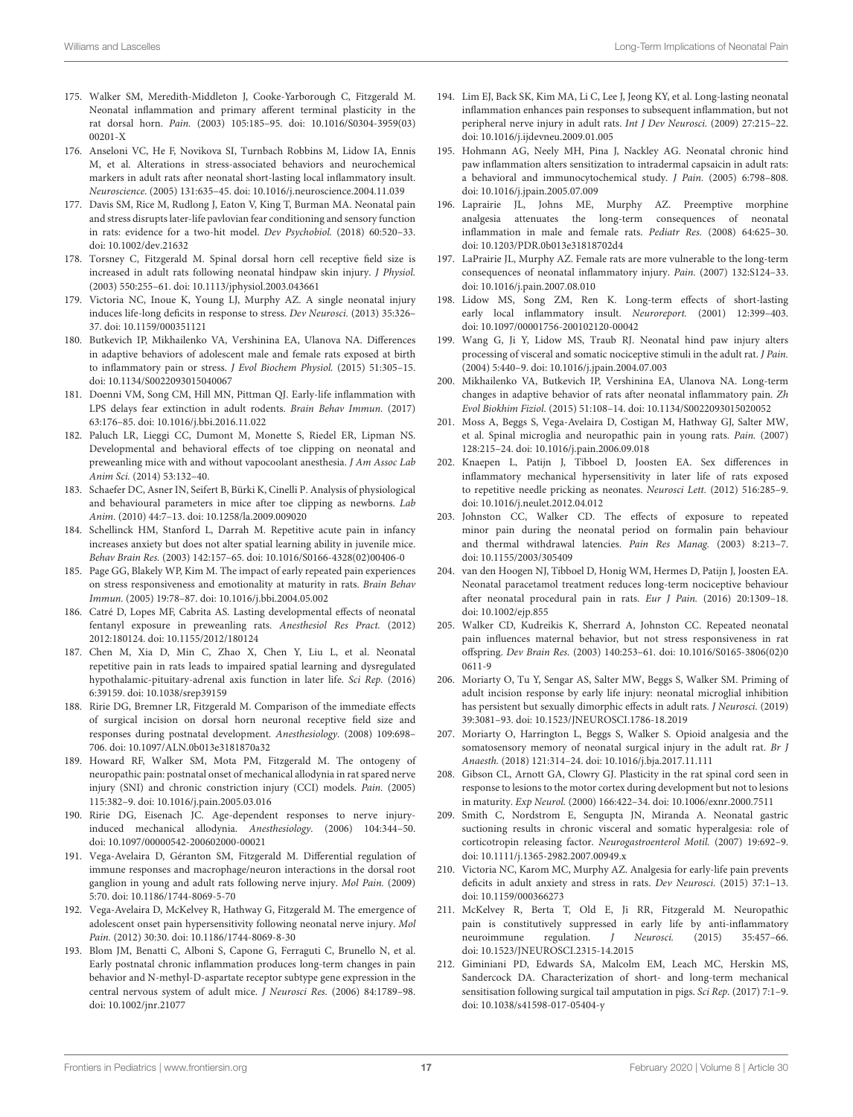- <span id="page-16-1"></span>175. Walker SM, Meredith-Middleton J, Cooke-Yarborough C, Fitzgerald M. Neonatal inflammation and primary afferent terminal plasticity in the rat dorsal horn. Pain. [\(2003\) 105:185–95. doi: 10.1016/S0304-3959\(03\)](https://doi.org/10.1016/S0304-3959(03)00201-X) 00201-X
- <span id="page-16-29"></span>176. Anseloni VC, He F, Novikova SI, Turnbach Robbins M, Lidow IA, Ennis M, et al. Alterations in stress-associated behaviors and neurochemical markers in adult rats after neonatal short-lasting local inflammatory insult. Neuroscience. (2005) 131:635–45. doi: [10.1016/j.neuroscience.2004.11.039](https://doi.org/10.1016/j.neuroscience.2004.11.039)
- <span id="page-16-6"></span>177. Davis SM, Rice M, Rudlong J, Eaton V, King T, Burman MA. Neonatal pain and stress disrupts later-life pavlovian fear conditioning and sensory function in rats: evidence for a two-hit model. Dev Psychobiol. (2018) 60:520–33. doi: [10.1002/dev.21632](https://doi.org/10.1002/dev.21632)
- <span id="page-16-8"></span>178. Torsney C, Fitzgerald M. Spinal dorsal horn cell receptive field size is increased in adult rats following neonatal hindpaw skin injury. J Physiol. (2003) 550:255–61. doi: [10.1113/jphysiol.2003.043661](https://doi.org/10.1113/jphysiol.2003.043661)
- <span id="page-16-2"></span>179. Victoria NC, Inoue K, Young LJ, Murphy AZ. A single neonatal injury induces life-long deficits in response to stress. Dev Neurosci. (2013) 35:326– 37. doi: [10.1159/000351121](https://doi.org/10.1159/000351121)
- <span id="page-16-3"></span>180. Butkevich IP, Mikhailenko VA, Vershinina EA, Ulanova NA. Differences in adaptive behaviors of adolescent male and female rats exposed at birth to inflammatory pain or stress. J Evol Biochem Physiol. (2015) 51:305–15. doi: [10.1134/S0022093015040067](https://doi.org/10.1134/S0022093015040067)
- <span id="page-16-4"></span>181. Doenni VM, Song CM, Hill MN, Pittman QJ. Early-life inflammation with LPS delays fear extinction in adult rodents. Brain Behav Immun. (2017) 63:176–85. doi: [10.1016/j.bbi.2016.11.022](https://doi.org/10.1016/j.bbi.2016.11.022)
- <span id="page-16-32"></span>182. Paluch LR, Lieggi CC, Dumont M, Monette S, Riedel ER, Lipman NS. Developmental and behavioral effects of toe clipping on neonatal and preweanling mice with and without vapocoolant anesthesia. J Am Assoc Lab Anim Sci. (2014) 53:132–40.
- <span id="page-16-33"></span>183. Schaefer DC, Asner IN, Seifert B, Bürki K, Cinelli P. Analysis of physiological and behavioural parameters in mice after toe clipping as newborns. Lab Anim. (2010) 44:7–13. doi: [10.1258/la.2009.009020](https://doi.org/10.1258/la.2009.009020)
- <span id="page-16-5"></span>184. Schellinck HM, Stanford L, Darrah M. Repetitive acute pain in infancy increases anxiety but does not alter spatial learning ability in juvenile mice. Behav Brain Res. (2003) 142:157–65. doi: [10.1016/S0166-4328\(02\)00406-0](https://doi.org/10.1016/S0166-4328(02)00406-0)
- <span id="page-16-7"></span>185. Page GG, Blakely WP, Kim M. The impact of early repeated pain experiences on stress responsiveness and emotionality at maturity in rats. Brain Behav Immun. (2005) 19:78–87. doi: [10.1016/j.bbi.2004.05.002](https://doi.org/10.1016/j.bbi.2004.05.002)
- <span id="page-16-9"></span>186. Catré D, Lopes MF, Cabrita AS. Lasting developmental effects of neonatal fentanyl exposure in preweanling rats. Anesthesiol Res Pract. (2012) 2012:180124. doi: [10.1155/2012/180124](https://doi.org/10.1155/2012/180124)
- <span id="page-16-31"></span>187. Chen M, Xia D, Min C, Zhao X, Chen Y, Liu L, et al. Neonatal repetitive pain in rats leads to impaired spatial learning and dysregulated hypothalamic-pituitary-adrenal axis function in later life. Sci Rep. (2016) 6:39159. doi: [10.1038/srep39159](https://doi.org/10.1038/srep39159)
- <span id="page-16-10"></span>188. Ririe DG, Bremner LR, Fitzgerald M. Comparison of the immediate effects of surgical incision on dorsal horn neuronal receptive field size and responses during postnatal development. Anesthesiology. (2008) 109:698– 706. doi: [10.1097/ALN.0b013e3181870a32](https://doi.org/10.1097/ALN.0b013e3181870a32)
- <span id="page-16-11"></span>189. Howard RF, Walker SM, Mota PM, Fitzgerald M. The ontogeny of neuropathic pain: postnatal onset of mechanical allodynia in rat spared nerve injury (SNI) and chronic constriction injury (CCI) models. Pain. (2005) 115:382–9. doi: [10.1016/j.pain.2005.03.016](https://doi.org/10.1016/j.pain.2005.03.016)
- <span id="page-16-36"></span>190. Ririe DG, Eisenach JC. Age-dependent responses to nerve injuryinduced mechanical allodynia. Anesthesiology. (2006) 104:344–50. doi: [10.1097/00000542-200602000-00021](https://doi.org/10.1097/00000542-200602000-00021)
- <span id="page-16-34"></span>191. Vega-Avelaira D, Géranton SM, Fitzgerald M. Differential regulation of immune responses and macrophage/neuron interactions in the dorsal root ganglion in young and adult rats following nerve injury. Mol Pain. (2009) 5:70. doi: [10.1186/1744-8069-5-70](https://doi.org/10.1186/1744-8069-5-70)
- <span id="page-16-12"></span>192. Vega-Avelaira D, McKelvey R, Hathway G, Fitzgerald M. The emergence of adolescent onset pain hypersensitivity following neonatal nerve injury. Mol Pain. (2012) 30:30. doi: [10.1186/1744-8069-8-30](https://doi.org/10.1186/1744-8069-8-30)
- <span id="page-16-13"></span>193. Blom JM, Benatti C, Alboni S, Capone G, Ferraguti C, Brunello N, et al. Early postnatal chronic inflammation produces long-term changes in pain behavior and N-methyl-D-aspartate receptor subtype gene expression in the central nervous system of adult mice. J Neurosci Res. (2006) 84:1789–98. doi: [10.1002/jnr.21077](https://doi.org/10.1002/jnr.21077)
- <span id="page-16-14"></span>194. Lim EJ, Back SK, Kim MA, Li C, Lee J, Jeong KY, et al. Long-lasting neonatal inflammation enhances pain responses to subsequent inflammation, but not peripheral nerve injury in adult rats. Int J Dev Neurosci. (2009) 27:215–22. doi: [10.1016/j.ijdevneu.2009.01.005](https://doi.org/10.1016/j.ijdevneu.2009.01.005)
- <span id="page-16-15"></span>195. Hohmann AG, Neely MH, Pina J, Nackley AG. Neonatal chronic hind paw inflammation alters sensitization to intradermal capsaicin in adult rats: a behavioral and immunocytochemical study. J Pain. (2005) 6:798–808. doi: [10.1016/j.jpain.2005.07.009](https://doi.org/10.1016/j.jpain.2005.07.009)
- <span id="page-16-16"></span>196. Laprairie JL, Johns ME, Murphy AZ. Preemptive morphine analgesia attenuates the long-term consequences of neonatal inflammation in male and female rats. Pediatr Res. (2008) 64:625–30. doi: [10.1203/PDR.0b013e31818702d4](https://doi.org/10.1203/PDR.0b013e31818702d4)
- <span id="page-16-37"></span>197. LaPrairie JL, Murphy AZ. Female rats are more vulnerable to the long-term consequences of neonatal inflammatory injury. Pain. (2007) 132:S124–33. doi: [10.1016/j.pain.2007.08.010](https://doi.org/10.1016/j.pain.2007.08.010)
- <span id="page-16-17"></span>198. Lidow MS, Song ZM, Ren K. Long-term effects of short-lasting early local inflammatory insult. Neuroreport. (2001) 12:399–403. doi: [10.1097/00001756-200102120-00042](https://doi.org/10.1097/00001756-200102120-00042)
- <span id="page-16-18"></span>199. Wang G, Ji Y, Lidow MS, Traub RJ. Neonatal hind paw injury alters processing of visceral and somatic nociceptive stimuli in the adult rat. J Pain. (2004) 5:440–9. doi: [10.1016/j.jpain.2004.07.003](https://doi.org/10.1016/j.jpain.2004.07.003)
- <span id="page-16-19"></span>200. Mikhailenko VA, Butkevich IP, Vershinina EA, Ulanova NA. Long-term changes in adaptive behavior of rats after neonatal inflammatory pain. Zh Evol Biokhim Fiziol. (2015) 51:108–14. doi: [10.1134/S0022093015020052](https://doi.org/10.1134/S0022093015020052)
- <span id="page-16-20"></span>201. Moss A, Beggs S, Vega-Avelaira D, Costigan M, Hathway GJ, Salter MW, et al. Spinal microglia and neuropathic pain in young rats. Pain. (2007) 128:215–24. doi: [10.1016/j.pain.2006.09.018](https://doi.org/10.1016/j.pain.2006.09.018)
- <span id="page-16-21"></span>202. Knaepen L, Patijn J, Tibboel D, Joosten EA. Sex differences in inflammatory mechanical hypersensitivity in later life of rats exposed to repetitive needle pricking as neonates. Neurosci Lett. (2012) 516:285–9. doi: [10.1016/j.neulet.2012.04.012](https://doi.org/10.1016/j.neulet.2012.04.012)
- <span id="page-16-22"></span>203. Johnston CC, Walker CD. The effects of exposure to repeated minor pain during the neonatal period on formalin pain behaviour and thermal withdrawal latencies. Pain Res Manag. (2003) 8:213–7. doi: [10.1155/2003/305409](https://doi.org/10.1155/2003/305409)
- <span id="page-16-23"></span>204. van den Hoogen NJ, Tibboel D, Honig WM, Hermes D, Patijn J, Joosten EA. Neonatal paracetamol treatment reduces long-term nociceptive behaviour after neonatal procedural pain in rats. Eur J Pain. (2016) 20:1309–18. doi: [10.1002/ejp.855](https://doi.org/10.1002/ejp.855)
- <span id="page-16-24"></span>205. Walker CD, Kudreikis K, Sherrard A, Johnston CC. Repeated neonatal pain influences maternal behavior, but not stress responsiveness in rat offspring. Dev Brain Res. [\(2003\) 140:253–61. doi: 10.1016/S0165-3806\(02\)0](https://doi.org/10.1016/S0165-3806(02)00611-9) 0611-9
- <span id="page-16-25"></span>206. Moriarty O, Tu Y, Sengar AS, Salter MW, Beggs S, Walker SM. Priming of adult incision response by early life injury: neonatal microglial inhibition has persistent but sexually dimorphic effects in adult rats. J Neurosci. (2019) 39:3081–93. doi: [10.1523/JNEUROSCI.1786-18.2019](https://doi.org/10.1523/JNEUROSCI.1786-18.2019)
- <span id="page-16-26"></span>207. Moriarty O, Harrington L, Beggs S, Walker S. Opioid analgesia and the somatosensory memory of neonatal surgical injury in the adult rat. Br J Anaesth. (2018) 121:314–24. doi: [10.1016/j.bja.2017.11.111](https://doi.org/10.1016/j.bja.2017.11.111)
- <span id="page-16-27"></span>208. Gibson CL, Arnott GA, Clowry GJ. Plasticity in the rat spinal cord seen in response to lesions to the motor cortex during development but not to lesions in maturity. Exp Neurol. (2000) 166:422–34. doi: [10.1006/exnr.2000.7511](https://doi.org/10.1006/exnr.2000.7511)
- <span id="page-16-28"></span>209. Smith C, Nordstrom E, Sengupta JN, Miranda A. Neonatal gastric suctioning results in chronic visceral and somatic hyperalgesia: role of corticotropin releasing factor. Neurogastroenterol Motil. (2007) 19:692–9. doi: [10.1111/j.1365-2982.2007.00949.x](https://doi.org/10.1111/j.1365-2982.2007.00949.x)
- <span id="page-16-30"></span>210. Victoria NC, Karom MC, Murphy AZ. Analgesia for early-life pain prevents deficits in adult anxiety and stress in rats. Dev Neurosci. (2015) 37:1–13. doi: [10.1159/000366273](https://doi.org/10.1159/000366273)
- <span id="page-16-35"></span>211. McKelvey R, Berta T, Old E, Ji RR, Fitzgerald M. Neuropathic pain is constitutively suppressed in early life by anti-inflammatory neuroimmune regulation. *J Neurosci.* (2015) 35:457-66. doi: [10.1523/JNEUROSCI.2315-14.2015](https://doi.org/10.1523/JNEUROSCI.2315-14.2015)
- <span id="page-16-0"></span>212. Giminiani PD, Edwards SA, Malcolm EM, Leach MC, Herskin MS, Sandercock DA. Characterization of short- and long-term mechanical sensitisation following surgical tail amputation in pigs. Sci Rep. (2017) 7:1–9. doi: [10.1038/s41598-017-05404-y](https://doi.org/10.1038/s41598-017-05404-y)